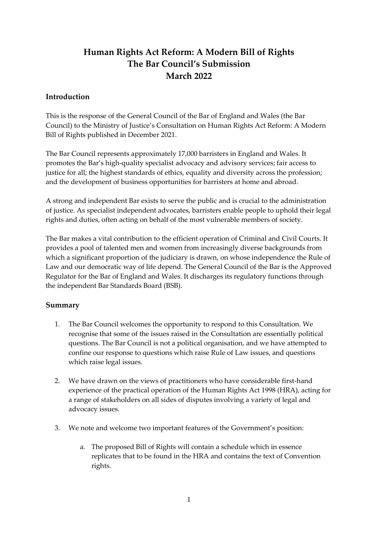# **Human Rights Act Reform: A Modern Bill of Rights The Bar Council's Submission March 2022**

# **Introduction**

This is the response of the General Council of the Bar of England and Wales (the Bar Council) to the Ministry of Justice's Consultation on Human Rights Act Reform: A Modern Bill of Rights published in December 2021.

The Bar Council represents approximately 17,000 barristers in England and Wales. It promotes the Bar's high-quality specialist advocacy and advisory services; fair access to justice for all; the highest standards of ethics, equality and diversity across the profession; and the development of business opportunities for barristers at home and abroad.

A strong and independent Bar exists to serve the public and is crucial to the administration of justice. As specialist independent advocates, barristers enable people to uphold their legal rights and duties, often acting on behalf of the most vulnerable members of society.

The Bar makes a vital contribution to the efficient operation of Criminal and Civil Courts. It provides a pool of talented men and women from increasingly diverse backgrounds from which a significant proportion of the judiciary is drawn, on whose independence the Rule of Law and our democratic way of life depend. The General Council of the Bar is the Approved Regulator for the Bar of England and Wales. It discharges its regulatory functions through the independent Bar Standards Board (BSB).

# **Summary**

- 1. The Bar Council welcomes the opportunity to respond to this Consultation. We recognise that some of the issues raised in the Consultation are essentially political questions. The Bar Council is not a political organisation, and we have attempted to confine our response to questions which raise Rule of Law issues, and questions which raise legal issues.
- 2. We have drawn on the views of practitioners who have considerable first-hand experience of the practical operation of the Human Rights Act 1998 (HRA), acting for a range of stakeholders on all sides of disputes involving a variety of legal and advocacy issues.
- 3. We note and welcome two important features of the Government's position:
	- a. The proposed Bill of Rights will contain a schedule which in essence replicates that to be found in the HRA and contains the text of Convention rights.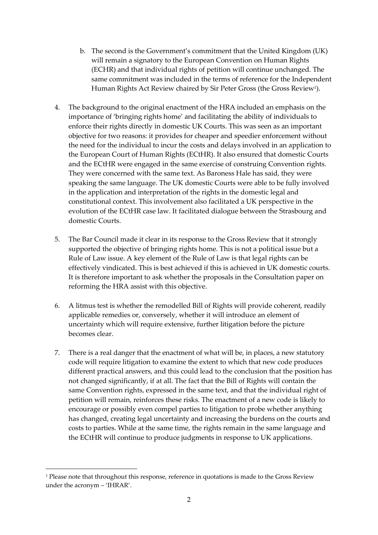- b. The second is the Government's commitment that the United Kingdom (UK) will remain a signatory to the European Convention on Human Rights (ECHR) and that individual rights of petition will continue unchanged. The same commitment was included in the terms of reference for the Independent Human Rights Act Review chaired by Sir Peter Gross (the Gross Review<sup>1</sup> ).
- 4. The background to the original enactment of the HRA included an emphasis on the importance of 'bringing rights home' and facilitating the ability of individuals to enforce their rights directly in domestic UK Courts. This was seen as an important objective for two reasons: it provides for cheaper and speedier enforcement without the need for the individual to incur the costs and delays involved in an application to the European Court of Human Rights (ECtHR). It also ensured that domestic Courts and the ECtHR were engaged in the same exercise of construing Convention rights. They were concerned with the same text. As Baroness Hale has said, they were speaking the same language. The UK domestic Courts were able to be fully involved in the application and interpretation of the rights in the domestic legal and constitutional context. This involvement also facilitated a UK perspective in the evolution of the ECtHR case law. It facilitated dialogue between the Strasbourg and domestic Courts.
- 5. The Bar Council made it clear in its response to the Gross Review that it strongly supported the objective of bringing rights home. This is not a political issue but a Rule of Law issue. A key element of the Rule of Law is that legal rights can be effectively vindicated. This is best achieved if this is achieved in UK domestic courts. It is therefore important to ask whether the proposals in the Consultation paper on reforming the HRA assist with this objective.
- 6. A litmus test is whether the remodelled Bill of Rights will provide coherent, readily applicable remedies or, conversely, whether it will introduce an element of uncertainty which will require extensive, further litigation before the picture becomes clear.
- 7. There is a real danger that the enactment of what will be, in places, a new statutory code will require litigation to examine the extent to which that new code produces different practical answers, and this could lead to the conclusion that the position has not changed significantly, if at all. The fact that the Bill of Rights will contain the same Convention rights, expressed in the same text, and that the individual right of petition will remain, reinforces these risks. The enactment of a new code is likely to encourage or possibly even compel parties to litigation to probe whether anything has changed, creating legal uncertainty and increasing the burdens on the courts and costs to parties. While at the same time, the rights remain in the same language and the ECtHR will continue to produce judgments in response to UK applications.

<sup>&</sup>lt;sup>1</sup> Please note that throughout this response, reference in quotations is made to the Gross Review under the acronym – 'IHRAR'.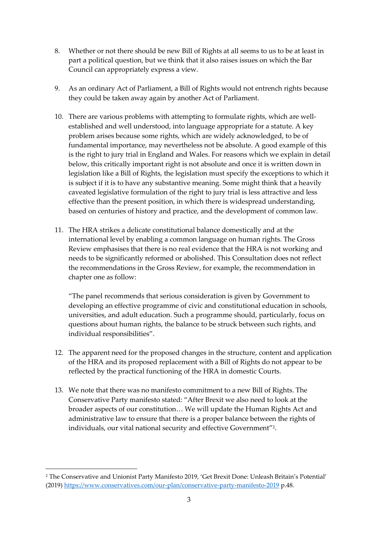- 8. Whether or not there should be new Bill of Rights at all seems to us to be at least in part a political question, but we think that it also raises issues on which the Bar Council can appropriately express a view.
- 9. As an ordinary Act of Parliament, a Bill of Rights would not entrench rights because they could be taken away again by another Act of Parliament.
- 10. There are various problems with attempting to formulate rights, which are wellestablished and well understood, into language appropriate for a statute. A key problem arises because some rights, which are widely acknowledged, to be of fundamental importance, may nevertheless not be absolute. A good example of this is the right to jury trial in England and Wales. For reasons which we explain in detail below, this critically important right is not absolute and once it is written down in legislation like a Bill of Rights, the legislation must specify the exceptions to which it is subject if it is to have any substantive meaning. Some might think that a heavily caveated legislative formulation of the right to jury trial is less attractive and less effective than the present position, in which there is widespread understanding, based on centuries of history and practice, and the development of common law.
- 11. The HRA strikes a delicate constitutional balance domestically and at the international level by enabling a common language on human rights. The Gross Review emphasises that there is no real evidence that the HRA is not working and needs to be significantly reformed or abolished. This Consultation does not reflect the recommendations in the Gross Review, for example, the recommendation in chapter one as follow:

"The panel recommends that serious consideration is given by Government to developing an effective programme of civic and constitutional education in schools, universities, and adult education. Such a programme should, particularly, focus on questions about human rights, the balance to be struck between such rights, and individual responsibilities".

- 12. The apparent need for the proposed changes in the structure, content and application of the HRA and its proposed replacement with a Bill of Rights do not appear to be reflected by the practical functioning of the HRA in domestic Courts.
- 13. We note that there was no manifesto commitment to a new Bill of Rights. The Conservative Party manifesto stated: "After Brexit we also need to look at the broader aspects of our constitution… We will update the Human Rights Act and administrative law to ensure that there is a proper balance between the rights of individuals, our vital national security and effective Government"<sup>2</sup> .

<sup>2</sup> The Conservative and Unionist Party Manifesto 2019, 'Get Brexit Done: Unleash Britain's Potential' (2019)<https://www.conservatives.com/our-plan/conservative-party-manifesto-2019> p.48.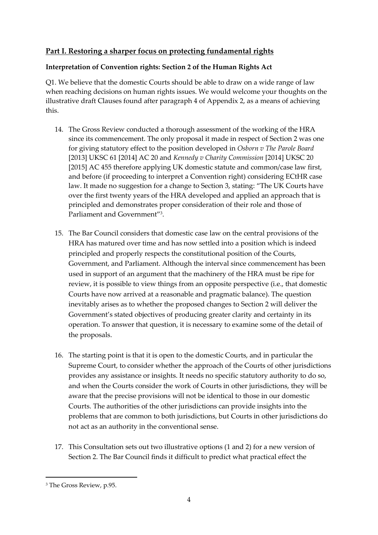# **Part I. Restoring a sharper focus on protecting fundamental rights**

# **Interpretation of Convention rights: Section 2 of the Human Rights Act**

Q1. We believe that the domestic Courts should be able to draw on a wide range of law when reaching decisions on human rights issues. We would welcome your thoughts on the illustrative draft Clauses found after paragraph 4 of Appendix 2, as a means of achieving this.

- 14. The Gross Review conducted a thorough assessment of the working of the HRA since its commencement. The only proposal it made in respect of Section 2 was one for giving statutory effect to the position developed in *Osborn v The Parole Board*  [2013] UKSC 61 [2014] AC 20 and *Kennedy v Charity Commission* [2014] UKSC 20 [2015] AC 455 therefore applying UK domestic statute and common/case law first, and before (if proceeding to interpret a Convention right) considering ECtHR case law. It made no suggestion for a change to Section 3, stating: "The UK Courts have over the first twenty years of the HRA developed and applied an approach that is principled and demonstrates proper consideration of their role and those of Parliament and Government"<sup>3</sup> .
- 15. The Bar Council considers that domestic case law on the central provisions of the HRA has matured over time and has now settled into a position which is indeed principled and properly respects the constitutional position of the Courts, Government, and Parliament. Although the interval since commencement has been used in support of an argument that the machinery of the HRA must be ripe for review, it is possible to view things from an opposite perspective (i.e., that domestic Courts have now arrived at a reasonable and pragmatic balance). The question inevitably arises as to whether the proposed changes to Section 2 will deliver the Government's stated objectives of producing greater clarity and certainty in its operation. To answer that question, it is necessary to examine some of the detail of the proposals.
- 16. The starting point is that it is open to the domestic Courts, and in particular the Supreme Court, to consider whether the approach of the Courts of other jurisdictions provides any assistance or insights. It needs no specific statutory authority to do so, and when the Courts consider the work of Courts in other jurisdictions, they will be aware that the precise provisions will not be identical to those in our domestic Courts. The authorities of the other jurisdictions can provide insights into the problems that are common to both jurisdictions, but Courts in other jurisdictions do not act as an authority in the conventional sense.
- 17. This Consultation sets out two illustrative options (1 and 2) for a new version of Section 2. The Bar Council finds it difficult to predict what practical effect the

<sup>3</sup> The Gross Review, p.95.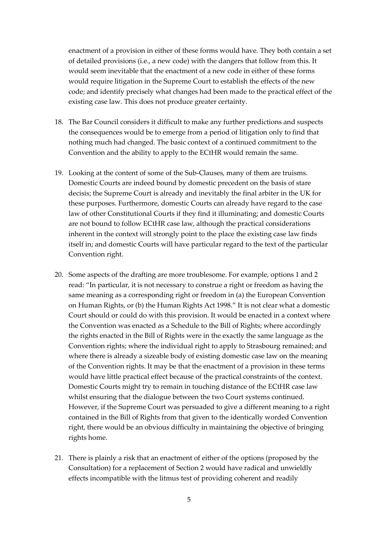enactment of a provision in either of these forms would have. They both contain a set of detailed provisions (i.e., a new code) with the dangers that follow from this. It would seem inevitable that the enactment of a new code in either of these forms would require litigation in the Supreme Court to establish the effects of the new code; and identify precisely what changes had been made to the practical effect of the existing case law. This does not produce greater certainty.

- 18. The Bar Council considers it difficult to make any further predictions and suspects the consequences would be to emerge from a period of litigation only to find that nothing much had changed. The basic context of a continued commitment to the Convention and the ability to apply to the ECtHR would remain the same.
- 19. Looking at the content of some of the Sub-Clauses, many of them are truisms. Domestic Courts are indeed bound by domestic precedent on the basis of stare decisis; the Supreme Court is already and inevitably the final arbiter in the UK for these purposes. Furthermore, domestic Courts can already have regard to the case law of other Constitutional Courts if they find it illuminating; and domestic Courts are not bound to follow ECtHR case law, although the practical considerations inherent in the context will strongly point to the place the existing case law finds itself in; and domestic Courts will have particular regard to the text of the particular Convention right.
- 20. Some aspects of the drafting are more troublesome. For example, options 1 and 2 read: "In particular, it is not necessary to construe a right or freedom as having the same meaning as a corresponding right or freedom in (a) the European Convention on Human Rights, or (b) the Human Rights Act 1998." It is not clear what a domestic Court should or could do with this provision. It would be enacted in a context where the Convention was enacted as a Schedule to the Bill of Rights; where accordingly the rights enacted in the Bill of Rights were in the exactly the same language as the Convention rights; where the individual right to apply to Strasbourg remained; and where there is already a sizeable body of existing domestic case law on the meaning of the Convention rights. It may be that the enactment of a provision in these terms would have little practical effect because of the practical constraints of the context. Domestic Courts might try to remain in touching distance of the ECtHR case law whilst ensuring that the dialogue between the two Court systems continued. However, if the Supreme Court was persuaded to give a different meaning to a right contained in the Bill of Rights from that given to the identically worded Convention right, there would be an obvious difficulty in maintaining the objective of bringing rights home.
- 21. There is plainly a risk that an enactment of either of the options (proposed by the Consultation) for a replacement of Section 2 would have radical and unwieldly effects incompatible with the litmus test of providing coherent and readily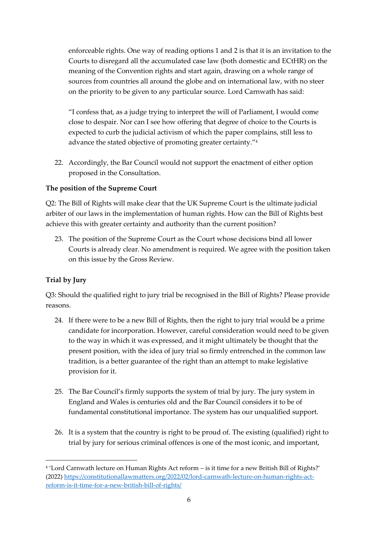enforceable rights. One way of reading options 1 and 2 is that it is an invitation to the Courts to disregard all the accumulated case law (both domestic and ECtHR) on the meaning of the Convention rights and start again, drawing on a whole range of sources from countries all around the globe and on international law, with no steer on the priority to be given to any particular source. Lord Carnwath has said:

"I confess that, as a judge trying to interpret the will of Parliament, I would come close to despair. Nor can I see how offering that degree of choice to the Courts is expected to curb the judicial activism of which the paper complains, still less to advance the stated objective of promoting greater certainty."<sup>4</sup>

22. Accordingly, the Bar Council would not support the enactment of either option proposed in the Consultation.

# **The position of the Supreme Court**

Q2: The Bill of Rights will make clear that the UK Supreme Court is the ultimate judicial arbiter of our laws in the implementation of human rights. How can the Bill of Rights best achieve this with greater certainty and authority than the current position?

23. The position of the Supreme Court as the Court whose decisions bind all lower Courts is already clear. No amendment is required. We agree with the position taken on this issue by the Gross Review.

# **Trial by Jury**

Q3: Should the qualified right to jury trial be recognised in the Bill of Rights? Please provide reasons.

- 24. If there were to be a new Bill of Rights, then the right to jury trial would be a prime candidate for incorporation. However, careful consideration would need to be given to the way in which it was expressed, and it might ultimately be thought that the present position, with the idea of jury trial so firmly entrenched in the common law tradition, is a better guarantee of the right than an attempt to make legislative provision for it.
- 25. The Bar Council's firmly supports the system of trial by jury. The jury system in England and Wales is centuries old and the Bar Council considers it to be of fundamental constitutional importance. The system has our unqualified support.
- 26. It is a system that the country is right to be proud of. The existing (qualified) right to trial by jury for serious criminal offences is one of the most iconic, and important,

<sup>4</sup> 'Lord Carnwath lecture on Human Rights Act reform – is it time for a new British Bill of Rights?' (2022) [https://constitutionallawmatters.org/2022/02/lord-carnwath-lecture-on-human-rights-act](https://constitutionallawmatters.org/2022/02/lord-carnwath-lecture-on-human-rights-act-reform-is-it-time-for-a-new-british-bill-of-rights/)[reform-is-it-time-for-a-new-british-bill-of-rights/](https://constitutionallawmatters.org/2022/02/lord-carnwath-lecture-on-human-rights-act-reform-is-it-time-for-a-new-british-bill-of-rights/)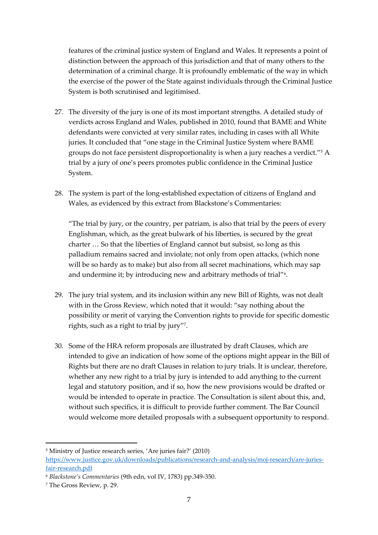features of the criminal justice system of England and Wales. It represents a point of distinction between the approach of this jurisdiction and that of many others to the determination of a criminal charge. It is profoundly emblematic of the way in which the exercise of the power of the State against individuals through the Criminal Justice System is both scrutinised and legitimised.

- 27. The diversity of the jury is one of its most important strengths. A detailed study of verdicts across England and Wales, published in 2010, found that BAME and White defendants were convicted at very similar rates, including in cases with all White juries. It concluded that "one stage in the Criminal Justice System where BAME groups do not face persistent disproportionality is when a jury reaches a verdict." <sup>5</sup> A trial by a jury of one's peers promotes public confidence in the Criminal Justice System.
- 28. The system is part of the long-established expectation of citizens of England and Wales, as evidenced by this extract from Blackstone's Commentaries:

"The trial by jury, or the country, per patriam, is also that trial by the peers of every Englishman, which, as the great bulwark of his liberties, is secured by the great charter … So that the liberties of England cannot but subsist, so long as this palladium remains sacred and inviolate; not only from open attacks, (which none will be so hardy as to make) but also from all secret machinations, which may sap and undermine it; by introducing new and arbitrary methods of trial"<sup>6</sup>.

- 29. The jury trial system, and its inclusion within any new Bill of Rights, was not dealt with in the Gross Review, which noted that it would: "say nothing about the possibility or merit of varying the Convention rights to provide for specific domestic rights, such as a right to trial by jury" 7 .
- 30. Some of the HRA reform proposals are illustrated by draft Clauses, which are intended to give an indication of how some of the options might appear in the Bill of Rights but there are no draft Clauses in relation to jury trials. It is unclear, therefore, whether any new right to a trial by jury is intended to add anything to the current legal and statutory position, and if so, how the new provisions would be drafted or would be intended to operate in practice. The Consultation is silent about this, and, without such specifics, it is difficult to provide further comment. The Bar Council would welcome more detailed proposals with a subsequent opportunity to respond.

<sup>5</sup> Ministry of Justice research series, 'Are juries fair?' (2010) [https://www.justice.gov.uk/downloads/publications/research-and-analysis/moj-research/are-juries](https://www.justice.gov.uk/downloads/publications/research-and-analysis/moj-research/are-juries-fair-research.pdf)[fair-research.pdf](https://www.justice.gov.uk/downloads/publications/research-and-analysis/moj-research/are-juries-fair-research.pdf)

<sup>6</sup> *Blackstone's Commentaries* (9th edn, vol IV, 1783) pp.349-350.

<sup>7</sup> The Gross Review, p. 29.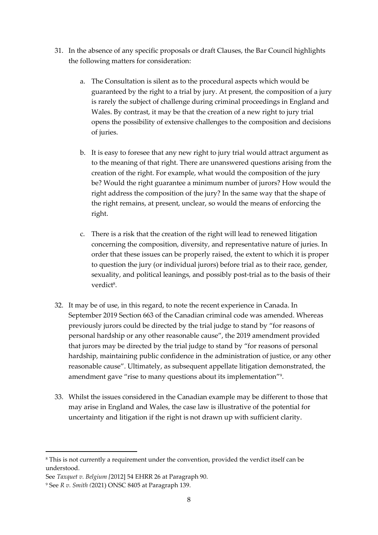- 31. In the absence of any specific proposals or draft Clauses, the Bar Council highlights the following matters for consideration:
	- a. The Consultation is silent as to the procedural aspects which would be guaranteed by the right to a trial by jury. At present, the composition of a jury is rarely the subject of challenge during criminal proceedings in England and Wales. By contrast, it may be that the creation of a new right to jury trial opens the possibility of extensive challenges to the composition and decisions of juries.
	- b. It is easy to foresee that any new right to jury trial would attract argument as to the meaning of that right. There are unanswered questions arising from the creation of the right. For example, what would the composition of the jury be? Would the right guarantee a minimum number of jurors? How would the right address the composition of the jury? In the same way that the shape of the right remains, at present, unclear, so would the means of enforcing the right.
	- c. There is a risk that the creation of the right will lead to renewed litigation concerning the composition, diversity, and representative nature of juries. In order that these issues can be properly raised, the extent to which it is proper to question the jury (or individual jurors) before trial as to their race, gender, sexuality, and political leanings, and possibly post-trial as to the basis of their verdict<sup>8</sup>.
- 32. It may be of use, in this regard, to note the recent experience in Canada. In September 2019 Section 663 of the Canadian criminal code was amended. Whereas previously jurors could be directed by the trial judge to stand by "for reasons of personal hardship or any other reasonable cause", the 2019 amendment provided that jurors may be directed by the trial judge to stand by "for reasons of personal hardship, maintaining public confidence in the administration of justice, or any other reasonable cause". Ultimately, as subsequent appellate litigation demonstrated, the amendment gave "rise to many questions about its implementation"<sup>9</sup> .
- 33. Whilst the issues considered in the Canadian example may be different to those that may arise in England and Wales, the case law is illustrative of the potential for uncertainty and litigation if the right is not drawn up with sufficient clarity.

<sup>8</sup> This is not currently a requirement under the convention, provided the verdict itself can be understood.

See *Taxquet v. Belgium [*2012] 54 EHRR 26 at Paragraph 90.

<sup>9</sup> See *R v. Smith (*2021) ONSC 8405 at Paragraph 139.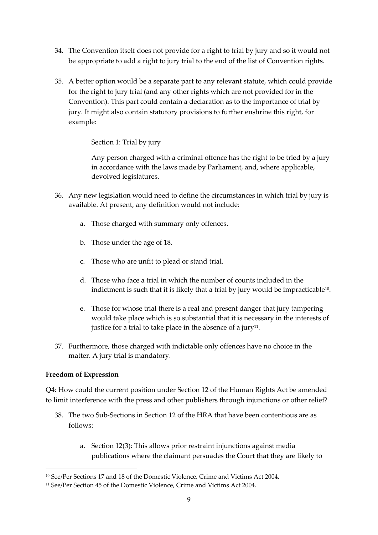- 34. The Convention itself does not provide for a right to trial by jury and so it would not be appropriate to add a right to jury trial to the end of the list of Convention rights.
- 35. A better option would be a separate part to any relevant statute, which could provide for the right to jury trial (and any other rights which are not provided for in the Convention). This part could contain a declaration as to the importance of trial by jury. It might also contain statutory provisions to further enshrine this right, for example:

Section 1: Trial by jury

Any person charged with a criminal offence has the right to be tried by a jury in accordance with the laws made by Parliament, and, where applicable, devolved legislatures.

- 36. Any new legislation would need to define the circumstances in which trial by jury is available. At present, any definition would not include:
	- a. Those charged with summary only offences.
	- b. Those under the age of 18.
	- c. Those who are unfit to plead or stand trial.
	- d. Those who face a trial in which the number of counts included in the indictment is such that it is likely that a trial by jury would be impracticable $^{\text{10}}$ .
	- e. Those for whose trial there is a real and present danger that jury tampering would take place which is so substantial that it is necessary in the interests of justice for a trial to take place in the absence of a jury $^{\rm 11}.$
- 37. Furthermore, those charged with indictable only offences have no choice in the matter. A jury trial is mandatory.

#### **Freedom of Expression**

Q4: How could the current position under Section 12 of the Human Rights Act be amended to limit interference with the press and other publishers through injunctions or other relief?

- 38. The two Sub-Sections in Section 12 of the HRA that have been contentious are as follows:
	- a. Section 12(3): This allows prior restraint injunctions against media publications where the claimant persuades the Court that they are likely to

<sup>10</sup> See/Per Sections 17 and 18 of the Domestic Violence, Crime and Victims Act 2004.

<sup>&</sup>lt;sup>11</sup> See/Per Section 45 of the Domestic Violence, Crime and Victims Act 2004.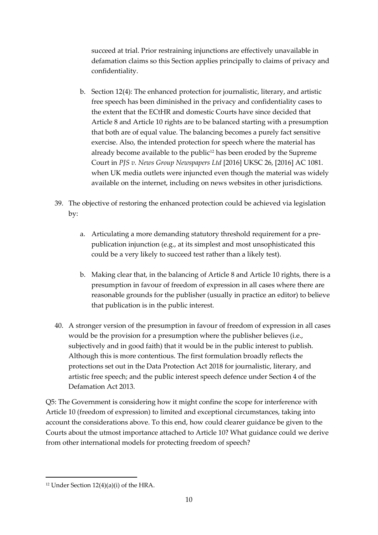succeed at trial. Prior restraining injunctions are effectively unavailable in defamation claims so this Section applies principally to claims of privacy and confidentiality.

- b. Section 12(4): The enhanced protection for journalistic, literary, and artistic free speech has been diminished in the privacy and confidentiality cases to the extent that the ECtHR and domestic Courts have since decided that Article 8 and Article 10 rights are to be balanced starting with a presumption that both are of equal value. The balancing becomes a purely fact sensitive exercise. Also, the intended protection for speech where the material has already become available to the public<sup>12</sup> has been eroded by the Supreme Court in *PJS v. News Group Newspapers Ltd* [2016] UKSC 26, [2016] AC 1081. when UK media outlets were injuncted even though the material was widely available on the internet, including on news websites in other jurisdictions.
- 39. The objective of restoring the enhanced protection could be achieved via legislation by:
	- a. Articulating a more demanding statutory threshold requirement for a prepublication injunction (e.g., at its simplest and most unsophisticated this could be a very likely to succeed test rather than a likely test).
	- b. Making clear that, in the balancing of Article 8 and Article 10 rights, there is a presumption in favour of freedom of expression in all cases where there are reasonable grounds for the publisher (usually in practice an editor) to believe that publication is in the public interest.
- 40. A stronger version of the presumption in favour of freedom of expression in all cases would be the provision for a presumption where the publisher believes (i.e., subjectively and in good faith) that it would be in the public interest to publish. Although this is more contentious. The first formulation broadly reflects the protections set out in the Data Protection Act 2018 for journalistic, literary, and artistic free speech; and the public interest speech defence under Section 4 of the Defamation Act 2013.

Q5: The Government is considering how it might confine the scope for interference with Article 10 (freedom of expression) to limited and exceptional circumstances, taking into account the considerations above. To this end, how could clearer guidance be given to the Courts about the utmost importance attached to Article 10? What guidance could we derive from other international models for protecting freedom of speech?

<sup>&</sup>lt;sup>12</sup> Under Section  $12(4)(a)(i)$  of the HRA.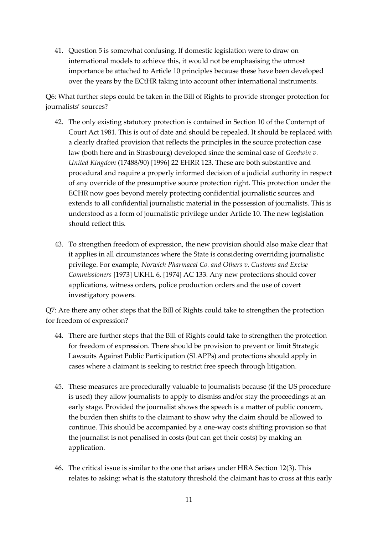41. Question 5 is somewhat confusing. If domestic legislation were to draw on international models to achieve this, it would not be emphasising the utmost importance be attached to Article 10 principles because these have been developed over the years by the ECtHR taking into account other international instruments.

Q6: What further steps could be taken in the Bill of Rights to provide stronger protection for journalists' sources?

- 42. The only existing statutory protection is contained in Section 10 of the Contempt of Court Act 1981. This is out of date and should be repealed. It should be replaced with a clearly drafted provision that reflects the principles in the source protection case law (both here and in Strasbourg) developed since the seminal case of *Goodwin v. United Kingdom* (17488/90) [1996] 22 EHRR 123. These are both substantive and procedural and require a properly informed decision of a judicial authority in respect of any override of the presumptive source protection right. This protection under the ECHR now goes beyond merely protecting confidential journalistic sources and extends to all confidential journalistic material in the possession of journalists. This is understood as a form of journalistic privilege under Article 10. The new legislation should reflect this.
- 43. To strengthen freedom of expression, the new provision should also make clear that it applies in all circumstances where the State is considering overriding journalistic privilege. For example, *Norwich Pharmacal Co. and Others v. Customs and Excise Commissioners* [1973] UKHL 6, [1974] AC 133. Any new protections should cover applications, witness orders, police production orders and the use of covert investigatory powers.

Q7: Are there any other steps that the Bill of Rights could take to strengthen the protection for freedom of expression?

- 44. There are further steps that the Bill of Rights could take to strengthen the protection for freedom of expression. There should be provision to prevent or limit Strategic Lawsuits Against Public Participation (SLAPPs) and protections should apply in cases where a claimant is seeking to restrict free speech through litigation.
- 45. These measures are procedurally valuable to journalists because (if the US procedure is used) they allow journalists to apply to dismiss and/or stay the proceedings at an early stage. Provided the journalist shows the speech is a matter of public concern, the burden then shifts to the claimant to show why the claim should be allowed to continue. This should be accompanied by a one-way costs shifting provision so that the journalist is not penalised in costs (but can get their costs) by making an application.
- 46. The critical issue is similar to the one that arises under HRA Section 12(3). This relates to asking: what is the statutory threshold the claimant has to cross at this early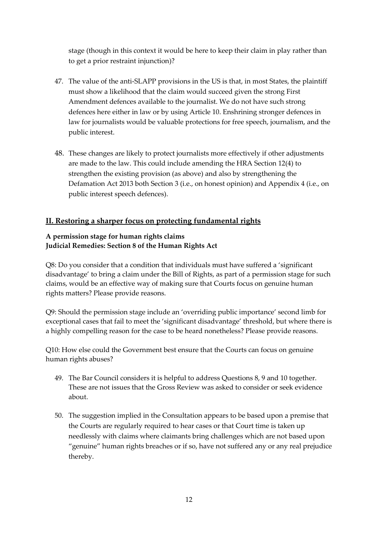stage (though in this context it would be here to keep their claim in play rather than to get a prior restraint injunction)?

- 47. The value of the anti-SLAPP provisions in the US is that, in most States, the plaintiff must show a likelihood that the claim would succeed given the strong First Amendment defences available to the journalist. We do not have such strong defences here either in law or by using Article 10. Enshrining stronger defences in law for journalists would be valuable protections for free speech, journalism, and the public interest.
- 48. These changes are likely to protect journalists more effectively if other adjustments are made to the law. This could include amending the HRA Section 12(4) to strengthen the existing provision (as above) and also by strengthening the Defamation Act 2013 both Section 3 (i.e., on honest opinion) and Appendix 4 (i.e., on public interest speech defences).

# **II. Restoring a sharper focus on protecting fundamental rights**

### **A permission stage for human rights claims Judicial Remedies: Section 8 of the Human Rights Act**

Q8: Do you consider that a condition that individuals must have suffered a 'significant disadvantage' to bring a claim under the Bill of Rights, as part of a permission stage for such claims, would be an effective way of making sure that Courts focus on genuine human rights matters? Please provide reasons.

Q9: Should the permission stage include an 'overriding public importance' second limb for exceptional cases that fail to meet the 'significant disadvantage' threshold, but where there is a highly compelling reason for the case to be heard nonetheless? Please provide reasons.

Q10: How else could the Government best ensure that the Courts can focus on genuine human rights abuses?

- 49. The Bar Council considers it is helpful to address Questions 8, 9 and 10 together. These are not issues that the Gross Review was asked to consider or seek evidence about.
- 50. The suggestion implied in the Consultation appears to be based upon a premise that the Courts are regularly required to hear cases or that Court time is taken up needlessly with claims where claimants bring challenges which are not based upon "genuine" human rights breaches or if so, have not suffered any or any real prejudice thereby.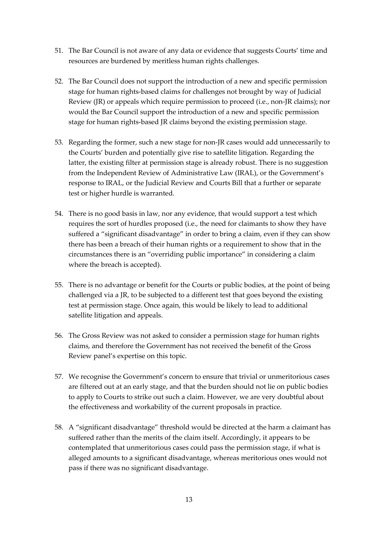- 51. The Bar Council is not aware of any data or evidence that suggests Courts' time and resources are burdened by meritless human rights challenges.
- 52. The Bar Council does not support the introduction of a new and specific permission stage for human rights-based claims for challenges not brought by way of Judicial Review (JR) or appeals which require permission to proceed (i.e., non-JR claims); nor would the Bar Council support the introduction of a new and specific permission stage for human rights-based JR claims beyond the existing permission stage.
- 53. Regarding the former, such a new stage for non-JR cases would add unnecessarily to the Courts' burden and potentially give rise to satellite litigation. Regarding the latter, the existing filter at permission stage is already robust. There is no suggestion from the Independent Review of Administrative Law (IRAL), or the Government's response to IRAL, or the Judicial Review and Courts Bill that a further or separate test or higher hurdle is warranted.
- 54. There is no good basis in law, nor any evidence, that would support a test which requires the sort of hurdles proposed (i.e., the need for claimants to show they have suffered a "significant disadvantage" in order to bring a claim, even if they can show there has been a breach of their human rights or a requirement to show that in the circumstances there is an "overriding public importance" in considering a claim where the breach is accepted).
- 55. There is no advantage or benefit for the Courts or public bodies, at the point of being challenged via a JR, to be subjected to a different test that goes beyond the existing test at permission stage. Once again, this would be likely to lead to additional satellite litigation and appeals.
- 56. The Gross Review was not asked to consider a permission stage for human rights claims, and therefore the Government has not received the benefit of the Gross Review panel's expertise on this topic.
- 57. We recognise the Government's concern to ensure that trivial or unmeritorious cases are filtered out at an early stage, and that the burden should not lie on public bodies to apply to Courts to strike out such a claim. However, we are very doubtful about the effectiveness and workability of the current proposals in practice.
- 58. A "significant disadvantage" threshold would be directed at the harm a claimant has suffered rather than the merits of the claim itself. Accordingly, it appears to be contemplated that unmeritorious cases could pass the permission stage, if what is alleged amounts to a significant disadvantage, whereas meritorious ones would not pass if there was no significant disadvantage.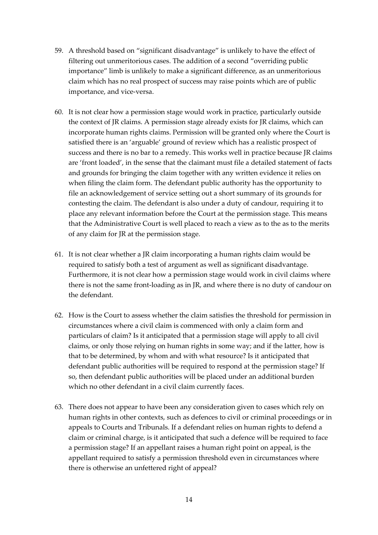- 59. A threshold based on "significant disadvantage" is unlikely to have the effect of filtering out unmeritorious cases. The addition of a second "overriding public importance" limb is unlikely to make a significant difference, as an unmeritorious claim which has no real prospect of success may raise points which are of public importance, and vice-versa.
- 60. It is not clear how a permission stage would work in practice, particularly outside the context of JR claims. A permission stage already exists for JR claims, which can incorporate human rights claims. Permission will be granted only where the Court is satisfied there is an 'arguable' ground of review which has a realistic prospect of success and there is no bar to a remedy. This works well in practice because JR claims are 'front loaded', in the sense that the claimant must file a detailed statement of facts and grounds for bringing the claim together with any written evidence it relies on when filing the claim form. The defendant public authority has the opportunity to file an acknowledgement of service setting out a short summary of its grounds for contesting the claim. The defendant is also under a duty of candour, requiring it to place any relevant information before the Court at the permission stage. This means that the Administrative Court is well placed to reach a view as to the as to the merits of any claim for JR at the permission stage.
- 61. It is not clear whether a JR claim incorporating a human rights claim would be required to satisfy both a test of argument as well as significant disadvantage. Furthermore, it is not clear how a permission stage would work in civil claims where there is not the same front-loading as in JR, and where there is no duty of candour on the defendant.
- 62. How is the Court to assess whether the claim satisfies the threshold for permission in circumstances where a civil claim is commenced with only a claim form and particulars of claim? Is it anticipated that a permission stage will apply to all civil claims, or only those relying on human rights in some way; and if the latter, how is that to be determined, by whom and with what resource? Is it anticipated that defendant public authorities will be required to respond at the permission stage? If so, then defendant public authorities will be placed under an additional burden which no other defendant in a civil claim currently faces.
- 63. There does not appear to have been any consideration given to cases which rely on human rights in other contexts, such as defences to civil or criminal proceedings or in appeals to Courts and Tribunals. If a defendant relies on human rights to defend a claim or criminal charge, is it anticipated that such a defence will be required to face a permission stage? If an appellant raises a human right point on appeal, is the appellant required to satisfy a permission threshold even in circumstances where there is otherwise an unfettered right of appeal?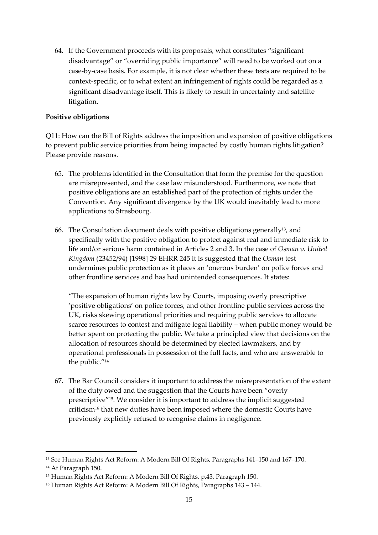64. If the Government proceeds with its proposals, what constitutes "significant disadvantage" or "overriding public importance" will need to be worked out on a case-by-case basis. For example, it is not clear whether these tests are required to be context-specific, or to what extent an infringement of rights could be regarded as a significant disadvantage itself. This is likely to result in uncertainty and satellite litigation.

### **Positive obligations**

Q11: How can the Bill of Rights address the imposition and expansion of positive obligations to prevent public service priorities from being impacted by costly human rights litigation? Please provide reasons.

- 65. The problems identified in the Consultation that form the premise for the question are misrepresented, and the case law misunderstood. Furthermore, we note that positive obligations are an established part of the protection of rights under the Convention. Any significant divergence by the UK would inevitably lead to more applications to Strasbourg.
- 66. The Consultation document deals with positive obligations generally13, and specifically with the positive obligation to protect against real and immediate risk to life and/or serious harm contained in Articles 2 and 3. In the case of *Osman v. United Kingdom* (23452/94) [1998] 29 EHRR 245 it is suggested that the *Osman* test undermines public protection as it places an 'onerous burden' on police forces and other frontline services and has had unintended consequences. It states:

"The expansion of human rights law by Courts, imposing overly prescriptive 'positive obligations' on police forces, and other frontline public services across the UK, risks skewing operational priorities and requiring public services to allocate scarce resources to contest and mitigate legal liability – when public money would be better spent on protecting the public. We take a principled view that decisions on the allocation of resources should be determined by elected lawmakers, and by operational professionals in possession of the full facts, and who are answerable to the public."<sup>14</sup>

67. The Bar Council considers it important to address the misrepresentation of the extent of the duty owed and the suggestion that the Courts have been "overly prescriptive"<sup>15</sup> . We consider it is important to address the implicit suggested criticism<sup>16</sup> that new duties have been imposed where the domestic Courts have previously explicitly refused to recognise claims in negligence.

<sup>13</sup> See Human Rights Act Reform: A Modern Bill Of Rights, Paragraphs 141–150 and 167–170.

<sup>14</sup> At Paragraph 150.

<sup>15</sup> Human Rights Act Reform: A Modern Bill Of Rights, p.43, Paragraph 150.

<sup>16</sup> Human Rights Act Reform: A Modern Bill Of Rights, Paragraphs 143 – 144.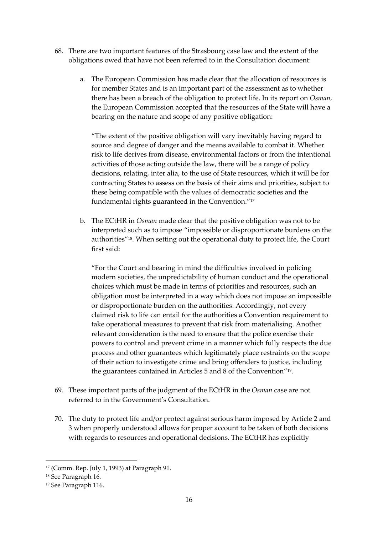- 68. There are two important features of the Strasbourg case law and the extent of the obligations owed that have not been referred to in the Consultation document:
	- a. The European Commission has made clear that the allocation of resources is for member States and is an important part of the assessment as to whether there has been a breach of the obligation to protect life. In its report on *Osman,* the European Commission accepted that the resources of the State will have a bearing on the nature and scope of any positive obligation:

"The extent of the positive obligation will vary inevitably having regard to source and degree of danger and the means available to combat it. Whether risk to life derives from disease, environmental factors or from the intentional activities of those acting outside the law, there will be a range of policy decisions, relating, inter alia, to the use of State resources, which it will be for contracting States to assess on the basis of their aims and priorities, subject to these being compatible with the values of democratic societies and the fundamental rights guaranteed in the Convention."<sup>17</sup>

b. The ECtHR in *Osman* made clear that the positive obligation was not to be interpreted such as to impose "impossible or disproportionate burdens on the authorities"<sup>18</sup> . When setting out the operational duty to protect life, the Court first said:

"For the Court and bearing in mind the difficulties involved in policing modern societies, the unpredictability of human conduct and the operational choices which must be made in terms of priorities and resources, such an obligation must be interpreted in a way which does not impose an impossible or disproportionate burden on the authorities. Accordingly, not every claimed risk to life can entail for the authorities a Convention requirement to take operational measures to prevent that risk from materialising. Another relevant consideration is the need to ensure that the police exercise their powers to control and prevent crime in a manner which fully respects the due process and other guarantees which legitimately place restraints on the scope of their action to investigate crime and bring offenders to justice, including the guarantees contained in Articles 5 and 8 of the Convention" 19 .

- 69. These important parts of the judgment of the ECtHR in the *Osman* case are not referred to in the Government's Consultation.
- 70. The duty to protect life and/or protect against serious harm imposed by Article 2 and 3 when properly understood allows for proper account to be taken of both decisions with regards to resources and operational decisions. The ECtHR has explicitly

<sup>17</sup> (Comm. Rep. July 1, 1993) at Paragraph 91.

<sup>18</sup> See Paragraph 16.

<sup>19</sup> See Paragraph 116.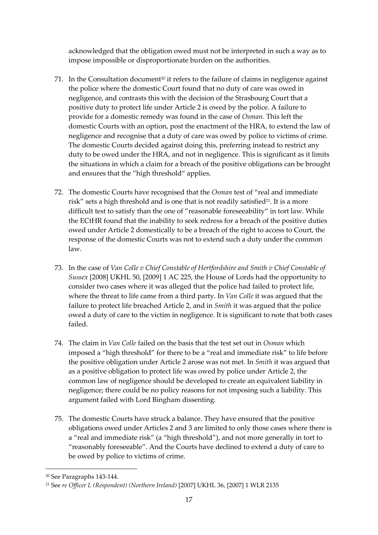acknowledged that the obligation owed must not be interpreted in such a way as to impose impossible or disproportionate burden on the authorities.

- 71. In the Consultation document<sup>20</sup> it refers to the failure of claims in negligence against the police where the domestic Court found that no duty of care was owed in negligence, and contrasts this with the decision of the Strasbourg Court that a positive duty to protect life under Article 2 is owed by the police. A failure to provide for a domestic remedy was found in the case of *Osman*. This left the domestic Courts with an option, post the enactment of the HRA, to extend the law of negligence and recognise that a duty of care was owed by police to victims of crime. The domestic Courts decided against doing this, preferring instead to restrict any duty to be owed under the HRA, and not in negligence. This is significant as it limits the situations in which a claim for a breach of the positive obligations can be brought and ensures that the "high threshold" applies.
- 72. The domestic Courts have recognised that the *Osman* test of "real and immediate risk" sets a high threshold and is one that is not readily satisfied<sup>21</sup>. It is a more difficult test to satisfy than the one of "reasonable foreseeability" in tort law. While the ECtHR found that the inability to seek redress for a breach of the positive duties owed under Article 2 domestically to be a breach of the right to access to Court, the response of the domestic Courts was not to extend such a duty under the common law.
- 73. In the case of *Van Colle v Chief Constable of Hertfordshire and Smith v Chief Constable of Sussex* [2008] UKHL 50, [2009] 1 AC 225, the House of Lords had the opportunity to consider two cases where it was alleged that the police had failed to protect life, where the threat to life came from a third party. In *Van Colle* it was argued that the failure to protect life breached Article 2, and in *Smith* it was argued that the police owed a duty of care to the victim in negligence. It is significant to note that both cases failed.
- 74. The claim in *Van Colle* failed on the basis that the test set out in *Osman* which imposed a "high threshold" for there to be a "real and immediate risk" to life before the positive obligation under Article 2 arose was not met. In *Smith* it was argued that as a positive obligation to protect life was owed by police under Article 2, the common law of negligence should be developed to create an equivalent liability in negligence; there could be no policy reasons for not imposing such a liability. This argument failed with Lord Bingham dissenting.
- 75. The domestic Courts have struck a balance. They have ensured that the positive obligations owed under Articles 2 and 3 are limited to only those cases where there is a "real and immediate risk" (a "high threshold"), and not more generally in tort to "reasonably foreseeable". And the Courts have declined to extend a duty of care to be owed by police to victims of crime.

<sup>20</sup> See Paragraphs 143-144.

<sup>21</sup> See *re Officer L (Respondent) (Northern Ireland)* [2007] UKHL 36, [2007] 1 WLR 2135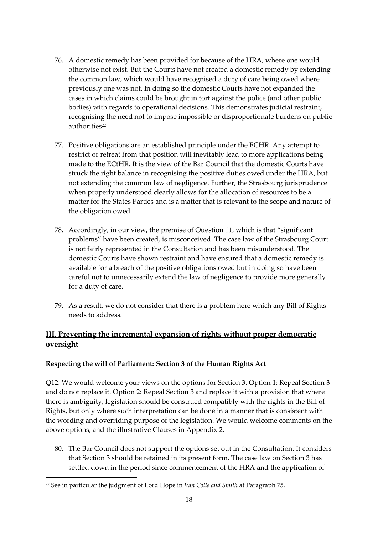- 76. A domestic remedy has been provided for because of the HRA, where one would otherwise not exist. But the Courts have not created a domestic remedy by extending the common law, which would have recognised a duty of care being owed where previously one was not. In doing so the domestic Courts have not expanded the cases in which claims could be brought in tort against the police (and other public bodies) with regards to operational decisions. This demonstrates judicial restraint, recognising the need not to impose impossible or disproportionate burdens on public authorities<sup>22</sup>.
- 77. Positive obligations are an established principle under the ECHR. Any attempt to restrict or retreat from that position will inevitably lead to more applications being made to the ECtHR. It is the view of the Bar Council that the domestic Courts have struck the right balance in recognising the positive duties owed under the HRA, but not extending the common law of negligence. Further, the Strasbourg jurisprudence when properly understood clearly allows for the allocation of resources to be a matter for the States Parties and is a matter that is relevant to the scope and nature of the obligation owed.
- 78. Accordingly, in our view, the premise of Question 11, which is that "significant problems" have been created, is misconceived. The case law of the Strasbourg Court is not fairly represented in the Consultation and has been misunderstood. The domestic Courts have shown restraint and have ensured that a domestic remedy is available for a breach of the positive obligations owed but in doing so have been careful not to unnecessarily extend the law of negligence to provide more generally for a duty of care.
- 79. As a result, we do not consider that there is a problem here which any Bill of Rights needs to address.

# **III. Preventing the incremental expansion of rights without proper democratic oversight**

# **Respecting the will of Parliament: Section 3 of the Human Rights Act**

Q12: We would welcome your views on the options for Section 3. Option 1: Repeal Section 3 and do not replace it. Option 2: Repeal Section 3 and replace it with a provision that where there is ambiguity, legislation should be construed compatibly with the rights in the Bill of Rights, but only where such interpretation can be done in a manner that is consistent with the wording and overriding purpose of the legislation. We would welcome comments on the above options, and the illustrative Clauses in Appendix 2.

80. The Bar Council does not support the options set out in the Consultation. It considers that Section 3 should be retained in its present form. The case law on Section 3 has settled down in the period since commencement of the HRA and the application of

<sup>22</sup> See in particular the judgment of Lord Hope in *Van Colle and Smith* at Paragraph 75.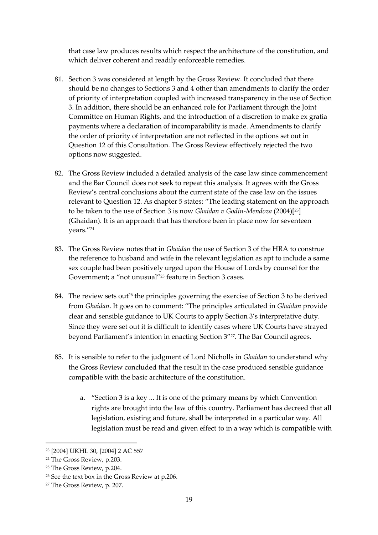that case law produces results which respect the architecture of the constitution, and which deliver coherent and readily enforceable remedies.

- 81. Section 3 was considered at length by the Gross Review. It concluded that there should be no changes to Sections 3 and 4 other than amendments to clarify the order of priority of interpretation coupled with increased transparency in the use of Section 3. In addition, there should be an enhanced role for Parliament through the Joint Committee on Human Rights, and the introduction of a discretion to make ex gratia payments where a declaration of incomparability is made. Amendments to clarify the order of priority of interpretation are not reflected in the options set out in Question 12 of this Consultation. The Gross Review effectively rejected the two options now suggested.
- 82. The Gross Review included a detailed analysis of the case law since commencement and the Bar Council does not seek to repeat this analysis. It agrees with the Gross Review's central conclusions about the current state of the case law on the issues relevant to Question 12. As chapter 5 states: "The leading statement on the approach to be taken to the use of Section 3 is now *Ghaidan v Godin-Mendoza* (2004)[23] (Ghaidan). It is an approach that has therefore been in place now for seventeen years."<sup>24</sup>
- 83. The Gross Review notes that in *Ghaidan* the use of Section 3 of the HRA to construe the reference to husband and wife in the relevant legislation as apt to include a same sex couple had been positively urged upon the House of Lords by counsel for the Government; a "not unusual"<sup>25</sup> feature in Section 3 cases.
- 84. The review sets out<sup>26</sup> the principles governing the exercise of Section 3 to be derived from *Ghaidan*. It goes on to comment: "The principles articulated in *Ghaidan* provide clear and sensible guidance to UK Courts to apply Section 3's interpretative duty. Since they were set out it is difficult to identify cases where UK Courts have strayed beyond Parliament's intention in enacting Section 3" <sup>27</sup>. The Bar Council agrees.
- 85. It is sensible to refer to the judgment of Lord Nicholls in *Ghaidan* to understand why the Gross Review concluded that the result in the case produced sensible guidance compatible with the basic architecture of the constitution.
	- a. "Section 3 is a key ... It is one of the primary means by which Convention rights are brought into the law of this country. Parliament has decreed that all legislation, existing and future, shall be interpreted in a particular way. All legislation must be read and given effect to in a way which is compatible with

<sup>23</sup> [2004] UKHL 30, [2004] 2 AC 557

<sup>24</sup> The Gross Review, p.203.

<sup>25</sup> The Gross Review, p.204.

<sup>26</sup> See the text box in the Gross Review at p.206.

<sup>27</sup> The Gross Review, p. 207.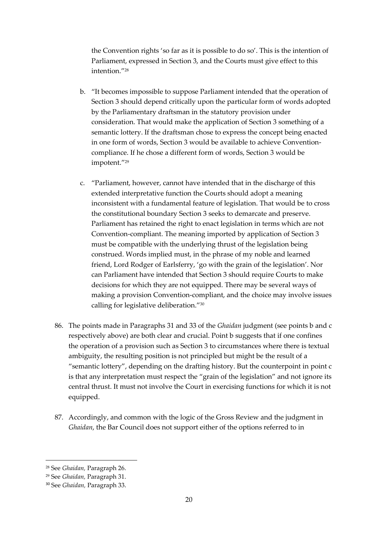the Convention rights 'so far as it is possible to do so'. This is the intention of Parliament, expressed in Section 3, and the Courts must give effect to this intention."<sup>28</sup>

- b. "It becomes impossible to suppose Parliament intended that the operation of Section 3 should depend critically upon the particular form of words adopted by the Parliamentary draftsman in the statutory provision under consideration. That would make the application of Section 3 something of a semantic lottery. If the draftsman chose to express the concept being enacted in one form of words, Section 3 would be available to achieve Conventioncompliance. If he chose a different form of words, Section 3 would be impotent."<sup>29</sup>
- c. "Parliament, however, cannot have intended that in the discharge of this extended interpretative function the Courts should adopt a meaning inconsistent with a fundamental feature of legislation. That would be to cross the constitutional boundary Section 3 seeks to demarcate and preserve. Parliament has retained the right to enact legislation in terms which are not Convention-compliant. The meaning imported by application of Section 3 must be compatible with the underlying thrust of the legislation being construed. Words implied must, in the phrase of my noble and learned friend, Lord Rodger of Earlsferry, 'go with the grain of the legislation'. Nor can Parliament have intended that Section 3 should require Courts to make decisions for which they are not equipped. There may be several ways of making a provision Convention-compliant, and the choice may involve issues calling for legislative deliberation."<sup>30</sup>
- 86. The points made in Paragraphs 31 and 33 of the *Ghaidan* judgment (see points b and c respectively above) are both clear and crucial. Point b suggests that if one confines the operation of a provision such as Section 3 to circumstances where there is textual ambiguity, the resulting position is not principled but might be the result of a "semantic lottery", depending on the drafting history. But the counterpoint in point c is that any interpretation must respect the "grain of the legislation" and not ignore its central thrust. It must not involve the Court in exercising functions for which it is not equipped.
- 87. Accordingly, and common with the logic of the Gross Review and the judgment in *Ghaidan*, the Bar Council does not support either of the options referred to in

<sup>28</sup> See *Ghaidan,* Paragraph 26.

<sup>29</sup> See *Ghaidan,* Paragraph 31.

<sup>30</sup> See *Ghaidan,* Paragraph 33.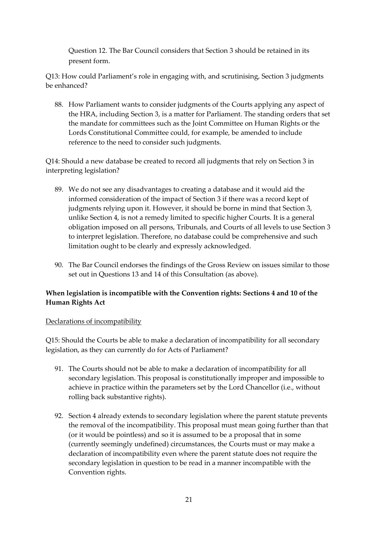Question 12. The Bar Council considers that Section 3 should be retained in its present form.

Q13: How could Parliament's role in engaging with, and scrutinising, Section 3 judgments be enhanced?

88. How Parliament wants to consider judgments of the Courts applying any aspect of the HRA, including Section 3, is a matter for Parliament. The standing orders that set the mandate for committees such as the Joint Committee on Human Rights or the Lords Constitutional Committee could, for example, be amended to include reference to the need to consider such judgments.

Q14: Should a new database be created to record all judgments that rely on Section 3 in interpreting legislation?

- 89. We do not see any disadvantages to creating a database and it would aid the informed consideration of the impact of Section 3 if there was a record kept of judgments relying upon it. However, it should be borne in mind that Section 3, unlike Section 4, is not a remedy limited to specific higher Courts. It is a general obligation imposed on all persons, Tribunals, and Courts of all levels to use Section 3 to interpret legislation. Therefore, no database could be comprehensive and such limitation ought to be clearly and expressly acknowledged.
- 90. The Bar Council endorses the findings of the Gross Review on issues similar to those set out in Questions 13 and 14 of this Consultation (as above).

# **When legislation is incompatible with the Convention rights: Sections 4 and 10 of the Human Rights Act**

# Declarations of incompatibility

Q15: Should the Courts be able to make a declaration of incompatibility for all secondary legislation, as they can currently do for Acts of Parliament?

- 91. The Courts should not be able to make a declaration of incompatibility for all secondary legislation. This proposal is constitutionally improper and impossible to achieve in practice within the parameters set by the Lord Chancellor (i.e., without rolling back substantive rights).
- 92. Section 4 already extends to secondary legislation where the parent statute prevents the removal of the incompatibility. This proposal must mean going further than that (or it would be pointless) and so it is assumed to be a proposal that in some (currently seemingly undefined) circumstances, the Courts must or may make a declaration of incompatibility even where the parent statute does not require the secondary legislation in question to be read in a manner incompatible with the Convention rights.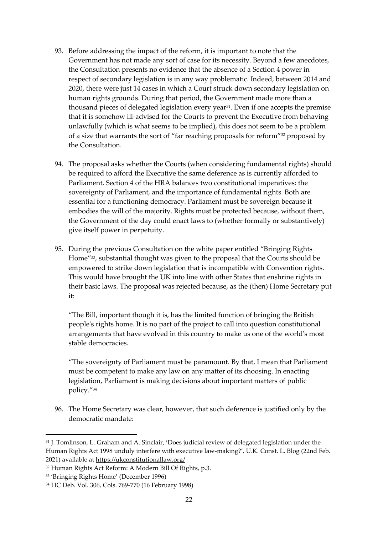- 93. Before addressing the impact of the reform, it is important to note that the Government has not made any sort of case for its necessity. Beyond a few anecdotes, the Consultation presents no evidence that the absence of a Section 4 power in respect of secondary legislation is in any way problematic. Indeed, between 2014 and 2020, there were just 14 cases in which a Court struck down secondary legislation on human rights grounds. During that period, the Government made more than a thousand pieces of delegated legislation every year<sup>31</sup>. Even if one accepts the premise that it is somehow ill-advised for the Courts to prevent the Executive from behaving unlawfully (which is what seems to be implied), this does not seem to be a problem of a size that warrants the sort of "far reaching proposals for reform" <sup>32</sup> proposed by the Consultation.
- 94. The proposal asks whether the Courts (when considering fundamental rights) should be required to afford the Executive the same deference as is currently afforded to Parliament. Section 4 of the HRA balances two constitutional imperatives: the sovereignty of Parliament, and the importance of fundamental rights. Both are essential for a functioning democracy. Parliament must be sovereign because it embodies the will of the majority. Rights must be protected because, without them, the Government of the day could enact laws to (whether formally or substantively) give itself power in perpetuity.
- 95. During the previous Consultation on the white paper entitled "Bringing Rights Home"33, substantial thought was given to the proposal that the Courts should be empowered to strike down legislation that is incompatible with Convention rights. This would have brought the UK into line with other States that enshrine rights in their basic laws. The proposal was rejected because, as the (then) Home Secretary put it:

"The Bill, important though it is, has the limited function of bringing the British people's rights home. It is no part of the project to call into question constitutional arrangements that have evolved in this country to make us one of the world's most stable democracies.

"The sovereignty of Parliament must be paramount. By that, I mean that Parliament must be competent to make any law on any matter of its choosing. In enacting legislation, Parliament is making decisions about important matters of public policy."<sup>34</sup>

96. The Home Secretary was clear, however, that such deference is justified only by the democratic mandate:

<sup>31</sup> J. Tomlinson, L. Graham and A. Sinclair, 'Does judicial review of delegated legislation under the Human Rights Act 1998 unduly interfere with executive law-making?', U.K. Const. L. Blog (22nd Feb. 2021) available at [https://ukconstitutionallaw.org/](https://ukconstitutionallaw.org/))

<sup>32</sup> Human Rights Act Reform: A Modern Bill Of Rights, p.3.

<sup>33</sup> 'Bringing Rights Home' (December 1996)

<sup>34</sup> HC Deb. Vol. 306, Cols. 769-770 (16 February 1998)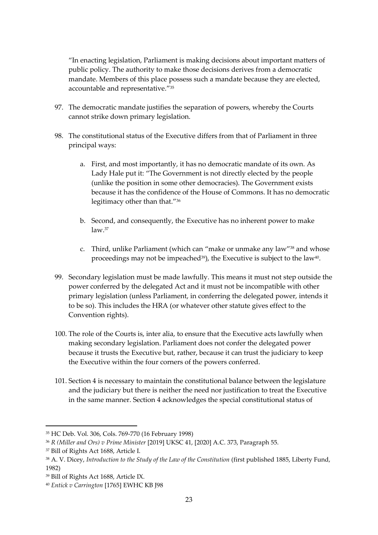"In enacting legislation, Parliament is making decisions about important matters of public policy. The authority to make those decisions derives from a democratic mandate. Members of this place possess such a mandate because they are elected, accountable and representative." 35

- 97. The democratic mandate justifies the separation of powers, whereby the Courts cannot strike down primary legislation.
- 98. The constitutional status of the Executive differs from that of Parliament in three principal ways:
	- a. First, and most importantly, it has no democratic mandate of its own. As Lady Hale put it: "The Government is not directly elected by the people (unlike the position in some other democracies). The Government exists because it has the confidence of the House of Commons. It has no democratic legitimacy other than that." 36
	- b. Second, and consequently, the Executive has no inherent power to make law.<sup>37</sup>
	- c. Third, unlike Parliament (which can "make or unmake any law" <sup>38</sup> and whose proceedings may not be impeached $^{39}$ ), the Executive is subject to the law $^{40}$ .
- 99. Secondary legislation must be made lawfully. This means it must not step outside the power conferred by the delegated Act and it must not be incompatible with other primary legislation (unless Parliament, in conferring the delegated power, intends it to be so). This includes the HRA (or whatever other statute gives effect to the Convention rights).
- 100. The role of the Courts is, inter alia, to ensure that the Executive acts lawfully when making secondary legislation. Parliament does not confer the delegated power because it trusts the Executive but, rather, because it can trust the judiciary to keep the Executive within the four corners of the powers conferred.
- 101. Section 4 is necessary to maintain the constitutional balance between the legislature and the judiciary but there is neither the need nor justification to treat the Executive in the same manner. Section 4 acknowledges the special constitutional status of

<sup>35</sup> HC Deb. Vol. 306, Cols. 769-770 (16 February 1998)

<sup>36</sup> *R (Miller and Ors) v Prime Minister* [2019] UKSC 41, [2020] A.C. 373, Paragraph 55.

<sup>37</sup> Bill of Rights Act 1688, Article I.

<sup>38</sup> A. V. Dicey, *Introduction to the Study of the Law of the Constitution* (first published 1885, Liberty Fund, 1982)

<sup>39</sup> Bill of Rights Act 1688, Article IX.

<sup>40</sup> *Entick v Carrington* [1765] EWHC KB J98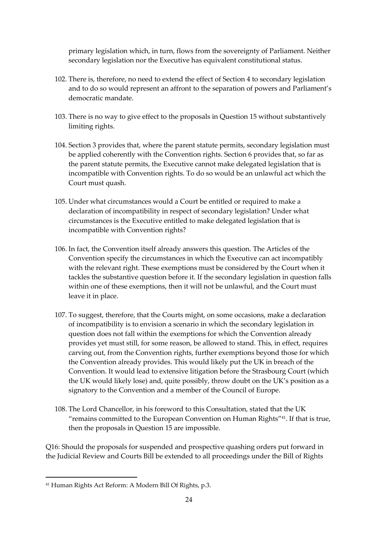primary legislation which, in turn, flows from the sovereignty of Parliament. Neither secondary legislation nor the Executive has equivalent constitutional status.

- 102. There is, therefore, no need to extend the effect of Section 4 to secondary legislation and to do so would represent an affront to the separation of powers and Parliament's democratic mandate.
- 103. There is no way to give effect to the proposals in Question 15 without substantively limiting rights.
- 104. Section 3 provides that, where the parent statute permits, secondary legislation must be applied coherently with the Convention rights. Section 6 provides that, so far as the parent statute permits, the Executive cannot make delegated legislation that is incompatible with Convention rights. To do so would be an unlawful act which the Court must quash.
- 105. Under what circumstances would a Court be entitled or required to make a declaration of incompatibility in respect of secondary legislation? Under what circumstances is the Executive entitled to make delegated legislation that is incompatible with Convention rights?
- 106. In fact, the Convention itself already answers this question. The Articles of the Convention specify the circumstances in which the Executive can act incompatibly with the relevant right. These exemptions must be considered by the Court when it tackles the substantive question before it. If the secondary legislation in question falls within one of these exemptions, then it will not be unlawful, and the Court must leave it in place.
- 107. To suggest, therefore, that the Courts might, on some occasions, make a declaration of incompatibility is to envision a scenario in which the secondary legislation in question does not fall within the exemptions for which the Convention already provides yet must still, for some reason, be allowed to stand. This, in effect, requires carving out, from the Convention rights, further exemptions beyond those for which the Convention already provides. This would likely put the UK in breach of the Convention. It would lead to extensive litigation before the Strasbourg Court (which the UK would likely lose) and, quite possibly, throw doubt on the UK's position as a signatory to the Convention and a member of the Council of Europe.
- 108. The Lord Chancellor, in his foreword to this Consultation, stated that the UK "remains committed to the European Convention on Human Rights"41. If that is true, then the proposals in Question 15 are impossible.

Q16: Should the proposals for suspended and prospective quashing orders put forward in the Judicial Review and Courts Bill be extended to all proceedings under the Bill of Rights

<sup>41</sup> Human Rights Act Reform: A Modern Bill Of Rights, p.3.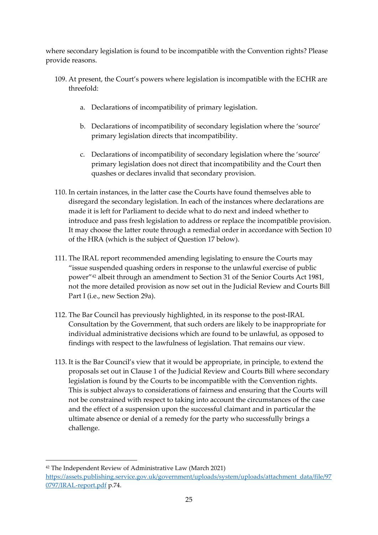where secondary legislation is found to be incompatible with the Convention rights? Please provide reasons.

- 109. At present, the Court's powers where legislation is incompatible with the ECHR are threefold:
	- a. Declarations of incompatibility of primary legislation.
	- b. Declarations of incompatibility of secondary legislation where the 'source' primary legislation directs that incompatibility.
	- c. Declarations of incompatibility of secondary legislation where the 'source' primary legislation does not direct that incompatibility and the Court then quashes or declares invalid that secondary provision.
- 110. In certain instances, in the latter case the Courts have found themselves able to disregard the secondary legislation. In each of the instances where declarations are made it is left for Parliament to decide what to do next and indeed whether to introduce and pass fresh legislation to address or replace the incompatible provision. It may choose the latter route through a remedial order in accordance with Section 10 of the HRA (which is the subject of Question 17 below).
- 111. The IRAL report recommended amending legislating to ensure the Courts may "issue suspended quashing orders in response to the unlawful exercise of public power"<sup>42</sup> albeit through an amendment to Section 31 of the Senior Courts Act 1981, not the more detailed provision as now set out in the Judicial Review and Courts Bill Part I (i.e., new Section 29a).
- 112. The Bar Council has previously highlighted, in its response to the post-IRAL Consultation by the Government, that such orders are likely to be inappropriate for individual administrative decisions which are found to be unlawful, as opposed to findings with respect to the lawfulness of legislation. That remains our view.
- 113. It is the Bar Council's view that it would be appropriate, in principle, to extend the proposals set out in Clause 1 of the Judicial Review and Courts Bill where secondary legislation is found by the Courts to be incompatible with the Convention rights. This is subject always to considerations of fairness and ensuring that the Courts will not be constrained with respect to taking into account the circumstances of the case and the effect of a suspension upon the successful claimant and in particular the ultimate absence or denial of a remedy for the party who successfully brings a challenge.

<sup>42</sup> The Independent Review of Administrative Law (March 2021) [https://assets.publishing.service.gov.uk/government/uploads/system/uploads/attachment\\_data/file/97](https://assets.publishing.service.gov.uk/government/uploads/system/uploads/attachment_data/file/970797/IRAL-report.pdf) [0797/IRAL-report.pdf](https://assets.publishing.service.gov.uk/government/uploads/system/uploads/attachment_data/file/970797/IRAL-report.pdf) p.74.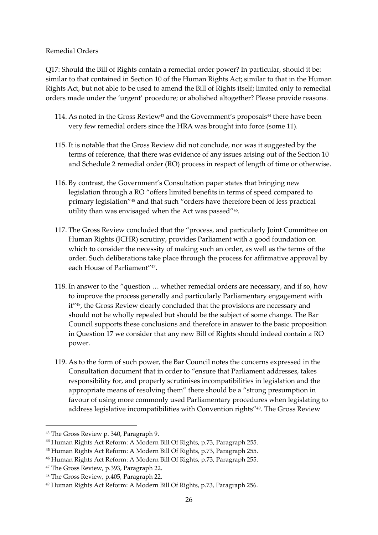#### Remedial Orders

Q17: Should the Bill of Rights contain a remedial order power? In particular, should it be: similar to that contained in Section 10 of the Human Rights Act; similar to that in the Human Rights Act, but not able to be used to amend the Bill of Rights itself; limited only to remedial orders made under the 'urgent' procedure; or abolished altogether? Please provide reasons.

- 114. As noted in the Gross Review<sup>43</sup> and the Government's proposals<sup>44</sup> there have been very few remedial orders since the HRA was brought into force (some 11).
- 115. It is notable that the Gross Review did not conclude, nor was it suggested by the terms of reference, that there was evidence of any issues arising out of the Section 10 and Schedule 2 remedial order (RO) process in respect of length of time or otherwise.
- 116. By contrast, the Government's Consultation paper states that bringing new legislation through a RO "offers limited benefits in terms of speed compared to primary legislation"<sup>45</sup> and that such "orders have therefore been of less practical utility than was envisaged when the Act was passed"<sup>46</sup> .
- 117. The Gross Review concluded that the "process, and particularly Joint Committee on Human Rights (JCHR) scrutiny, provides Parliament with a good foundation on which to consider the necessity of making such an order, as well as the terms of the order. Such deliberations take place through the process for affirmative approval by each House of Parliament"<sup>47</sup> .
- 118. In answer to the "question … whether remedial orders are necessary, and if so, how to improve the process generally and particularly Parliamentary engagement with it"48, the Gross Review clearly concluded that the provisions are necessary and should not be wholly repealed but should be the subject of some change. The Bar Council supports these conclusions and therefore in answer to the basic proposition in Question 17 we consider that any new Bill of Rights should indeed contain a RO power.
- 119. As to the form of such power, the Bar Council notes the concerns expressed in the Consultation document that in order to "ensure that Parliament addresses, takes responsibility for, and properly scrutinises incompatibilities in legislation and the appropriate means of resolving them" there should be a "strong presumption in favour of using more commonly used Parliamentary procedures when legislating to address legislative incompatibilities with Convention rights"49. The Gross Review

<sup>43</sup> The Gross Review p. 340, Paragraph 9.

<sup>44</sup> Human Rights Act Reform: A Modern Bill Of Rights, p.73, Paragraph 255.

<sup>45</sup> Human Rights Act Reform: A Modern Bill Of Rights, p.73, Paragraph 255.

<sup>46</sup> Human Rights Act Reform: A Modern Bill Of Rights, p.73, Paragraph 255.

<sup>47</sup> The Gross Review, p.393, Paragraph 22.

<sup>48</sup> The Gross Review, p.405, Paragraph 22.

<sup>49</sup> Human Rights Act Reform: A Modern Bill Of Rights, p.73, Paragraph 256.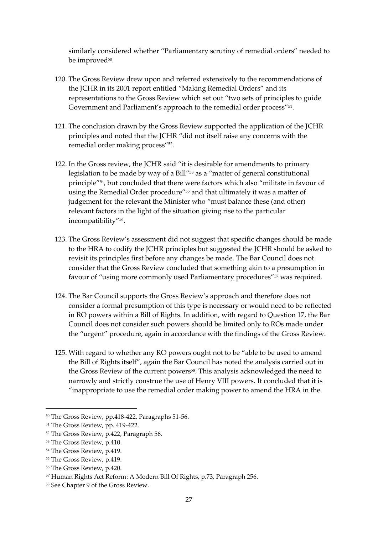similarly considered whether "Parliamentary scrutiny of remedial orders" needed to be improved $^{50}$ .

- 120. The Gross Review drew upon and referred extensively to the recommendations of the JCHR in its 2001 report entitled "Making Remedial Orders" and its representations to the Gross Review which set out "two sets of principles to guide Government and Parliament's approach to the remedial order process"<sup>51</sup>.
- 121. The conclusion drawn by the Gross Review supported the application of the JCHR principles and noted that the JCHR "did not itself raise any concerns with the remedial order making process"<sup>52</sup> .
- 122. In the Gross review, the JCHR said "it is desirable for amendments to primary legislation to be made by way of a Bill"<sup>53</sup> as a "matter of general constitutional principle"54, but concluded that there were factors which also "militate in favour of using the Remedial Order procedure"<sup>55</sup> and that ultimately it was a matter of judgement for the relevant the Minister who "must balance these (and other) relevant factors in the light of the situation giving rise to the particular incompatibility"<sup>56</sup> .
- 123. The Gross Review's assessment did not suggest that specific changes should be made to the HRA to codify the JCHR principles but suggested the JCHR should be asked to revisit its principles first before any changes be made. The Bar Council does not consider that the Gross Review concluded that something akin to a presumption in favour of "using more commonly used Parliamentary procedures"<sup>57</sup> was required.
- 124. The Bar Council supports the Gross Review's approach and therefore does not consider a formal presumption of this type is necessary or would need to be reflected in RO powers within a Bill of Rights. In addition, with regard to Question 17, the Bar Council does not consider such powers should be limited only to ROs made under the "urgent" procedure, again in accordance with the findings of the Gross Review.
- 125. With regard to whether any RO powers ought not to be "able to be used to amend the Bill of Rights itself", again the Bar Council has noted the analysis carried out in the Gross Review of the current powers<sup>58</sup>. This analysis acknowledged the need to narrowly and strictly construe the use of Henry VIII powers. It concluded that it is "inappropriate to use the remedial order making power to amend the HRA in the

<sup>50</sup> The Gross Review, pp.418-422, Paragraphs 51-56.

<sup>51</sup> The Gross Review, pp. 419-422.

<sup>52</sup> The Gross Review, p.422, Paragraph 56.

<sup>53</sup> The Gross Review, p.410.

<sup>54</sup> The Gross Review, p.419.

<sup>55</sup> The Gross Review, p.419.

<sup>56</sup> The Gross Review, p.420.

<sup>57</sup> Human Rights Act Reform: A Modern Bill Of Rights, p.73, Paragraph 256.

<sup>58</sup> See Chapter 9 of the Gross Review.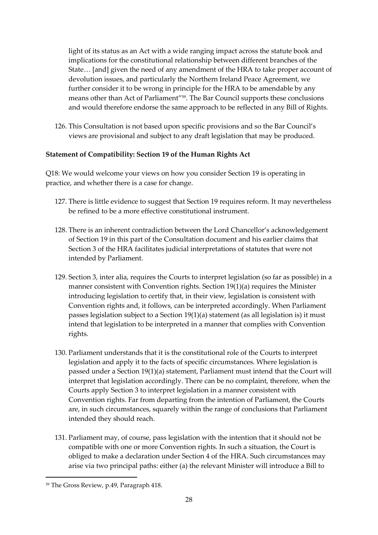light of its status as an Act with a wide ranging impact across the statute book and implications for the constitutional relationship between different branches of the State… [and] given the need of any amendment of the HRA to take proper account of devolution issues, and particularly the Northern Ireland Peace Agreement, we further consider it to be wrong in principle for the HRA to be amendable by any means other than Act of Parliament"<sup>59</sup> . The Bar Council supports these conclusions and would therefore endorse the same approach to be reflected in any Bill of Rights.

126. This Consultation is not based upon specific provisions and so the Bar Council's views are provisional and subject to any draft legislation that may be produced.

# **Statement of Compatibility: Section 19 of the Human Rights Act**

Q18: We would welcome your views on how you consider Section 19 is operating in practice, and whether there is a case for change.

- 127. There is little evidence to suggest that Section 19 requires reform. It may nevertheless be refined to be a more effective constitutional instrument.
- 128. There is an inherent contradiction between the Lord Chancellor's acknowledgement of Section 19 in this part of the Consultation document and his earlier claims that Section 3 of the HRA facilitates judicial interpretations of statutes that were not intended by Parliament.
- 129. Section 3, inter alia, requires the Courts to interpret legislation (so far as possible) in a manner consistent with Convention rights. Section 19(1)(a) requires the Minister introducing legislation to certify that, in their view, legislation is consistent with Convention rights and, it follows, can be interpreted accordingly. When Parliament passes legislation subject to a Section 19(1)(a) statement (as all legislation is) it must intend that legislation to be interpreted in a manner that complies with Convention rights.
- 130. Parliament understands that it is the constitutional role of the Courts to interpret legislation and apply it to the facts of specific circumstances. Where legislation is passed under a Section 19(1)(a) statement, Parliament must intend that the Court will interpret that legislation accordingly. There can be no complaint, therefore, when the Courts apply Section 3 to interpret legislation in a manner consistent with Convention rights. Far from departing from the intention of Parliament, the Courts are, in such circumstances, squarely within the range of conclusions that Parliament intended they should reach.
- 131. Parliament may, of course, pass legislation with the intention that it should not be compatible with one or more Convention rights. In such a situation, the Court is obliged to make a declaration under Section 4 of the HRA. Such circumstances may arise via two principal paths: either (a) the relevant Minister will introduce a Bill to

<sup>59</sup> The Gross Review, p.49, Paragraph 418.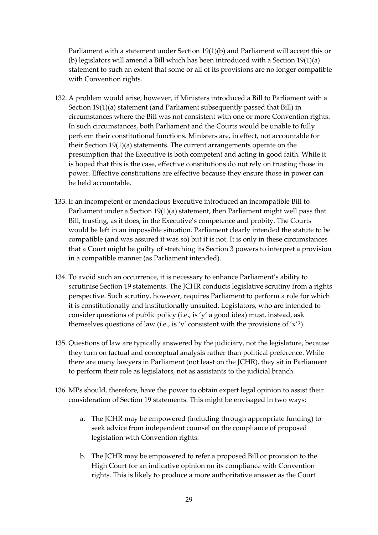Parliament with a statement under Section 19(1)(b) and Parliament will accept this or (b) legislators will amend a Bill which has been introduced with a Section 19(1)(a) statement to such an extent that some or all of its provisions are no longer compatible with Convention rights.

- 132. A problem would arise, however, if Ministers introduced a Bill to Parliament with a Section 19(1)(a) statement (and Parliament subsequently passed that Bill) in circumstances where the Bill was not consistent with one or more Convention rights. In such circumstances, both Parliament and the Courts would be unable to fully perform their constitutional functions. Ministers are, in effect, not accountable for their Section 19(1)(a) statements. The current arrangements operate on the presumption that the Executive is both competent and acting in good faith. While it is hoped that this is the case, effective constitutions do not rely on trusting those in power. Effective constitutions are effective because they ensure those in power can be held accountable.
- 133. If an incompetent or mendacious Executive introduced an incompatible Bill to Parliament under a Section 19(1)(a) statement, then Parliament might well pass that Bill, trusting, as it does, in the Executive's competence and probity. The Courts would be left in an impossible situation. Parliament clearly intended the statute to be compatible (and was assured it was so) but it is not. It is only in these circumstances that a Court might be guilty of stretching its Section 3 powers to interpret a provision in a compatible manner (as Parliament intended).
- 134. To avoid such an occurrence, it is necessary to enhance Parliament's ability to scrutinise Section 19 statements. The JCHR conducts legislative scrutiny from a rights perspective. Such scrutiny, however, requires Parliament to perform a role for which it is constitutionally and institutionally unsuited. Legislators, who are intended to consider questions of public policy (i.e., is 'y' a good idea) must, instead, ask themselves questions of law (i.e., is 'y' consistent with the provisions of 'x'?).
- 135. Questions of law are typically answered by the judiciary, not the legislature, because they turn on factual and conceptual analysis rather than political preference. While there are many lawyers in Parliament (not least on the JCHR), they sit in Parliament to perform their role as legislators, not as assistants to the judicial branch.
- 136. MPs should, therefore, have the power to obtain expert legal opinion to assist their consideration of Section 19 statements. This might be envisaged in two ways:
	- a. The JCHR may be empowered (including through appropriate funding) to seek advice from independent counsel on the compliance of proposed legislation with Convention rights.
	- b. The JCHR may be empowered to refer a proposed Bill or provision to the High Court for an indicative opinion on its compliance with Convention rights. This is likely to produce a more authoritative answer as the Court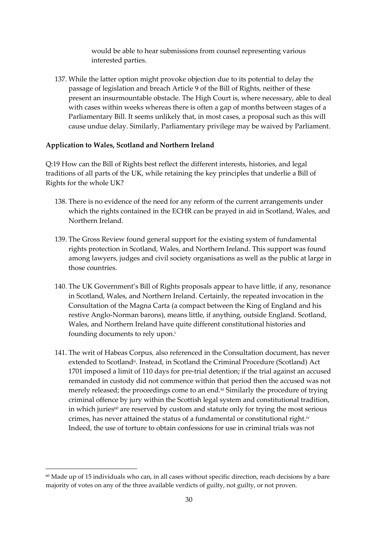would be able to hear submissions from counsel representing various interested parties.

137. While the latter option might provoke objection due to its potential to delay the passage of legislation and breach Article 9 of the Bill of Rights, neither of these present an insurmountable obstacle. The High Court is, where necessary, able to deal with cases within weeks whereas there is often a gap of months between stages of a Parliamentary Bill. It seems unlikely that, in most cases, a proposal such as this will cause undue delay. Similarly, Parliamentary privilege may be waived by Parliament.

#### **Application to Wales, Scotland and Northern Ireland**

Q:19 How can the Bill of Rights best reflect the different interests, histories, and legal traditions of all parts of the UK, while retaining the key principles that underlie a Bill of Rights for the whole UK?

- 138. There is no evidence of the need for any reform of the current arrangements under which the rights contained in the ECHR can be prayed in aid in Scotland, Wales, and Northern Ireland.
- 139. The Gross Review found general support for the existing system of fundamental rights protection in Scotland, Wales, and Northern Ireland. This support was found among lawyers, judges and civil society organisations as well as the public at large in those countries.
- 140. The UK Government's Bill of Rights proposals appear to have little, if any, resonance in Scotland, Wales, and Northern Ireland. Certainly, the repeated invocation in the Consultation of the Magna Carta (a compact between the King of England and his restive Anglo-Norman barons), means little, if anything, outside England. Scotland, Wales, and Northern Ireland have quite different constitutional histories and founding documents to rely upon. i
- 141. The writ of Habeas Corpus*,* also referenced in the Consultation document, has never extended to Scotland<sup>ii</sup>. Instead, in Scotland the Criminal Procedure (Scotland) Act 1701 imposed a limit of 110 days for pre-trial detention; if the trial against an accused remanded in custody did not commence within that period then the accused was not merely released; the proceedings come to an end. iii Similarly the procedure of trying criminal offence by jury within the Scottish legal system and constitutional tradition, in which juries $60$  are reserved by custom and statute only for trying the most serious crimes, has never attained the status of a fundamental or constitutional right.iv Indeed, the use of torture to obtain confessions for use in criminal trials was not

<sup>&</sup>lt;sup>60</sup> Made up of 15 individuals who can, in all cases without specific direction, reach decisions by a bare majority of votes on any of the three available verdicts of guilty, not guilty, or not proven.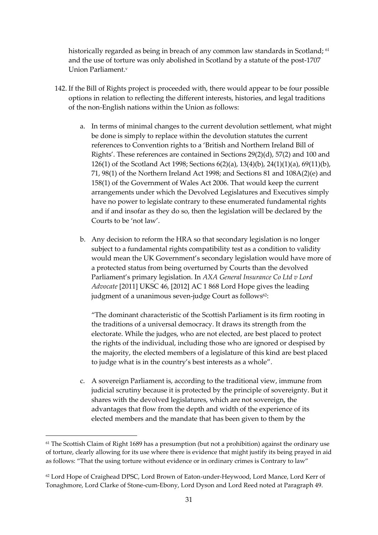historically regarded as being in breach of any common law standards in Scotland; <sup>61</sup> and the use of torture was only abolished in Scotland by a statute of the post-1707 Union Parliament. v

- 142. If the Bill of Rights project is proceeded with, there would appear to be four possible options in relation to reflecting the different interests, histories, and legal traditions of the non-English nations within the Union as follows:
	- a. In terms of minimal changes to the current devolution settlement, what might be done is simply to replace within the devolution statutes the current references to Convention rights to a 'British and Northern Ireland Bill of Rights'. These references are contained in Sections 29(2)(d), 57(2) and 100 and 126(1) of the Scotland Act 1998; Sections 6(2)(a), 13(4)(b), 24(1)(1)(a), 69(11)(b), 71, 98(1) of the Northern Ireland Act 1998; and Sections 81 and 108A(2)(e) and 158(1) of the Government of Wales Act 2006. That would keep the current arrangements under which the Devolved Legislatures and Executives simply have no power to legislate contrary to these enumerated fundamental rights and if and insofar as they do so, then the legislation will be declared by the Courts to be 'not law'.
	- b. Any decision to reform the HRA so that secondary legislation is no longer subject to a fundamental rights compatibility test as a condition to validity would mean the UK Government's secondary legislation would have more of a protected status from being overturned by Courts than the devolved Parliament's primary legislation. In *AXA General Insurance Co Ltd v Lord Advocate* [2011] UKSC 46, [2012] AC 1 868 Lord Hope gives the leading judgment of a unanimous seven-judge Court as follows<sup>62</sup>:

"The dominant characteristic of the Scottish Parliament is its firm rooting in the traditions of a universal democracy. It draws its strength from the electorate. While the judges, who are not elected, are best placed to protect the rights of the individual, including those who are ignored or despised by the majority, the elected members of a legislature of this kind are best placed to judge what is in the country's best interests as a whole".

c. A sovereign Parliament is, according to the traditional view, immune from judicial scrutiny because it is protected by the principle of sovereignty. But it shares with the devolved legislatures, which are not sovereign, the advantages that flow from the depth and width of the experience of its elected members and the mandate that has been given to them by the

<sup>&</sup>lt;sup>61</sup> The Scottish Claim of Right 1689 has a presumption (but not a prohibition) against the ordinary use of torture, clearly allowing for its use where there is evidence that might justify its being prayed in aid as follows: "That the using torture without evidence or in ordinary crimes is Contrary to law"

<sup>62</sup> Lord Hope of Craighead DPSC, Lord Brown of Eaton-under-Heywood, Lord Mance, Lord Kerr of Tonaghmore, Lord Clarke of Stone-cum-Ebony, Lord Dyson and Lord Reed noted at Paragraph 49.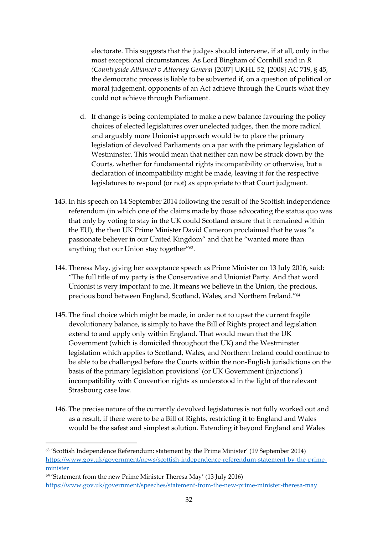electorate. This suggests that the judges should intervene, if at all, only in the most exceptional circumstances. As Lord Bingham of Cornhill said in *R (Countryside Alliance) v Attorney General* [2007] UKHL 52, [2008] AC 719, § 45, the democratic process is liable to be subverted if, on a question of political or moral judgement, opponents of an Act achieve through the Courts what they could not achieve through Parliament.

- d. If change is being contemplated to make a new balance favouring the policy choices of elected legislatures over unelected judges, then the more radical and arguably more Unionist approach would be to place the primary legislation of devolved Parliaments on a par with the primary legislation of Westminster. This would mean that neither can now be struck down by the Courts, whether for fundamental rights incompatibility or otherwise, but a declaration of incompatibility might be made, leaving it for the respective legislatures to respond (or not) as appropriate to that Court judgment.
- 143. In his speech on 14 September 2014 following the result of the Scottish independence referendum (in which one of the claims made by those advocating the status quo was that only by voting to stay in the UK could Scotland ensure that it remained within the EU), the then UK Prime Minister David Cameron proclaimed that he was "a passionate believer in our United Kingdom" and that he "wanted more than anything that our Union stay together"<sup>63</sup>.
- 144. Theresa May, giving her acceptance speech as Prime Minister on 13 July 2016, said: "The full title of my party is the Conservative and Unionist Party. And that word Unionist is very important to me. It means we believe in the Union, the precious, precious bond between England, Scotland, Wales, and Northern Ireland."<sup>64</sup>
- 145. The final choice which might be made, in order not to upset the current fragile devolutionary balance, is simply to have the Bill of Rights project and legislation extend to and apply only within England. That would mean that the UK Government (which is domiciled throughout the UK) and the Westminster legislation which applies to Scotland, Wales, and Northern Ireland could continue to be able to be challenged before the Courts within the non-English jurisdictions on the basis of the primary legislation provisions' (or UK Government (in)actions') incompatibility with Convention rights as understood in the light of the relevant Strasbourg case law.
- 146. The precise nature of the currently devolved legislatures is not fully worked out and as a result, if there were to be a Bill of Rights, restricting it to England and Wales would be the safest and simplest solution. Extending it beyond England and Wales

<sup>63</sup> 'Scottish Independence Referendum: statement by the Prime Minister' (19 September 2014) [https://www.gov.uk/government/news/scottish-independence-referendum-statement-by-the-prime](https://www.gov.uk/government/news/scottish-independence-referendum-statement-by-the-prime-minister)[minister](https://www.gov.uk/government/news/scottish-independence-referendum-statement-by-the-prime-minister)

<sup>&</sup>lt;sup>64</sup> 'Statement from the new Prime Minister Theresa May' (13 July 2016) <https://www.gov.uk/government/speeches/statement-from-the-new-prime-minister-theresa-may>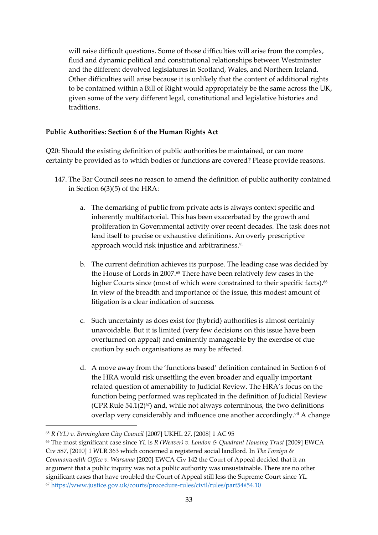will raise difficult questions. Some of those difficulties will arise from the complex, fluid and dynamic political and constitutional relationships between Westminster and the different devolved legislatures in Scotland, Wales, and Northern Ireland. Other difficulties will arise because it is unlikely that the content of additional rights to be contained within a Bill of Right would appropriately be the same across the UK, given some of the very different legal, constitutional and legislative histories and traditions.

### **Public Authorities: Section 6 of the Human Rights Act**

Q20: Should the existing definition of public authorities be maintained, or can more certainty be provided as to which bodies or functions are covered? Please provide reasons.

- 147. The Bar Council sees no reason to amend the definition of public authority contained in Section 6(3)(5) of the HRA:
	- a. The demarking of public from private acts is always context specific and inherently multifactorial. This has been exacerbated by the growth and proliferation in Governmental activity over recent decades. The task does not lend itself to precise or exhaustive definitions. An overly prescriptive approach would risk injustice and arbitrariness. vi
	- b. The current definition achieves its purpose. The leading case was decided by the House of Lords in 2007.<sup>65</sup> There have been relatively few cases in the higher Courts since (most of which were constrained to their specific facts).<sup>66</sup> In view of the breadth and importance of the issue, this modest amount of litigation is a clear indication of success.
	- c. Such uncertainty as does exist for (hybrid) authorities is almost certainly unavoidable. But it is limited (very few decisions on this issue have been overturned on appeal) and eminently manageable by the exercise of due caution by such organisations as may be affected.
	- d. A move away from the 'functions based' definition contained in Section 6 of the HRA would risk unsettling the even broader and equally important related question of amenability to Judicial Review. The HRA's focus on the function being performed was replicated in the definition of Judicial Review (CPR Rule  $54.1(2)^{67}$ ) and, while not always coterminous, the two definitions overlap very considerably and influence one another accordingly.<sup>vii</sup> A change

<sup>65</sup> *R (YL) v. Birmingham City Council* [2007] UKHL 27, [2008] 1 AC 95

<sup>66</sup> The most significant case since *YL* is *R (Weaver) v. London & Quadrant Housing Trust* [2009] EWCA Civ 587, [2010] 1 WLR 363 which concerned a registered social landlord. In *The Foreign & Commonwealth Office v. Warsama* [2020] EWCA Civ 142 the Court of Appeal decided that it an argument that a public inquiry was not a public authority was unsustainable. There are no other significant cases that have troubled the Court of Appeal still less the Supreme Court since *YL*. <sup>67</sup> <https://www.justice.gov.uk/courts/procedure-rules/civil/rules/part54#54.10>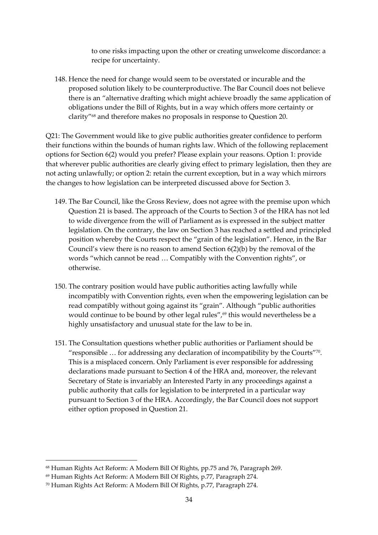to one risks impacting upon the other or creating unwelcome discordance: a recipe for uncertainty.

148. Hence the need for change would seem to be overstated or incurable and the proposed solution likely to be counterproductive. The Bar Council does not believe there is an "alternative drafting which might achieve broadly the same application of obligations under the Bill of Rights, but in a way which offers more certainty or clarity"<sup>68</sup> and therefore makes no proposals in response to Question 20.

Q21: The Government would like to give public authorities greater confidence to perform their functions within the bounds of human rights law. Which of the following replacement options for Section 6(2) would you prefer? Please explain your reasons. Option 1: provide that wherever public authorities are clearly giving effect to primary legislation, then they are not acting unlawfully; or option 2: retain the current exception, but in a way which mirrors the changes to how legislation can be interpreted discussed above for Section 3.

- 149. The Bar Council, like the Gross Review, does not agree with the premise upon which Question 21 is based. The approach of the Courts to Section 3 of the HRA has not led to wide divergence from the will of Parliament as is expressed in the subject matter legislation. On the contrary, the law on Section 3 has reached a settled and principled position whereby the Courts respect the "grain of the legislation". Hence, in the Bar Council's view there is no reason to amend Section 6(2)(b) by the removal of the words "which cannot be read … Compatibly with the Convention rights", or otherwise.
- 150. The contrary position would have public authorities acting lawfully while incompatibly with Convention rights, even when the empowering legislation can be read compatibly without going against its "grain". Although "public authorities would continue to be bound by other legal rules",<sup>69</sup> this would nevertheless be a highly unsatisfactory and unusual state for the law to be in.
- 151. The Consultation questions whether public authorities or Parliament should be " responsible  $\ldots$  for addressing any declaration of incompatibility by the Courts"  $\ldots$ This is a misplaced concern. Only Parliament is ever responsible for addressing declarations made pursuant to Section 4 of the HRA and, moreover, the relevant Secretary of State is invariably an Interested Party in any proceedings against a public authority that calls for legislation to be interpreted in a particular way pursuant to Section 3 of the HRA. Accordingly, the Bar Council does not support either option proposed in Question 21.

<sup>68</sup> Human Rights Act Reform: A Modern Bill Of Rights, pp.75 and 76, Paragraph 269.

<sup>69</sup> Human Rights Act Reform: A Modern Bill Of Rights, p.77, Paragraph 274.

<sup>70</sup> Human Rights Act Reform: A Modern Bill Of Rights, p.77, Paragraph 274.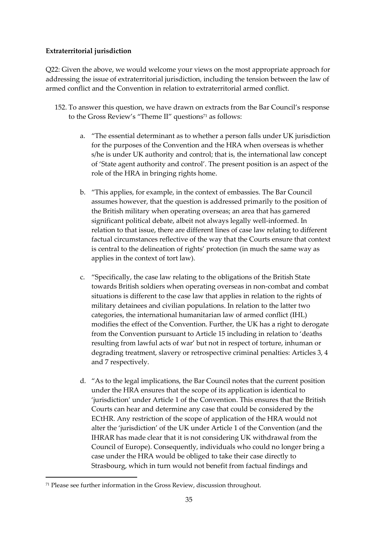# **Extraterritorial jurisdiction**

Q22: Given the above, we would welcome your views on the most appropriate approach for addressing the issue of extraterritorial jurisdiction, including the tension between the law of armed conflict and the Convention in relation to extraterritorial armed conflict.

- 152. To answer this question, we have drawn on extracts from the Bar Council's response to the Gross Review's "Theme II" questions<sup>71</sup> as follows:
	- a. "The essential determinant as to whether a person falls under UK jurisdiction for the purposes of the Convention and the HRA when overseas is whether s/he is under UK authority and control; that is, the international law concept of 'State agent authority and control'. The present position is an aspect of the role of the HRA in bringing rights home.
	- b. "This applies, for example, in the context of embassies. The Bar Council assumes however, that the question is addressed primarily to the position of the British military when operating overseas; an area that has garnered significant political debate, albeit not always legally well-informed. In relation to that issue, there are different lines of case law relating to different factual circumstances reflective of the way that the Courts ensure that context is central to the delineation of rights' protection (in much the same way as applies in the context of tort law).
	- c. "Specifically, the case law relating to the obligations of the British State towards British soldiers when operating overseas in non-combat and combat situations is different to the case law that applies in relation to the rights of military detainees and civilian populations. In relation to the latter two categories, the international humanitarian law of armed conflict (IHL) modifies the effect of the Convention. Further, the UK has a right to derogate from the Convention pursuant to Article 15 including in relation to 'deaths resulting from lawful acts of war' but not in respect of torture, inhuman or degrading treatment, slavery or retrospective criminal penalties: Articles 3, 4 and 7 respectively.
	- d. "As to the legal implications, the Bar Council notes that the current position under the HRA ensures that the scope of its application is identical to 'jurisdiction' under Article 1 of the Convention. This ensures that the British Courts can hear and determine any case that could be considered by the ECtHR. Any restriction of the scope of application of the HRA would not alter the 'jurisdiction' of the UK under Article 1 of the Convention (and the IHRAR has made clear that it is not considering UK withdrawal from the Council of Europe). Consequently, individuals who could no longer bring a case under the HRA would be obliged to take their case directly to Strasbourg, which in turn would not benefit from factual findings and

<sup>71</sup> Please see further information in the Gross Review, discussion throughout.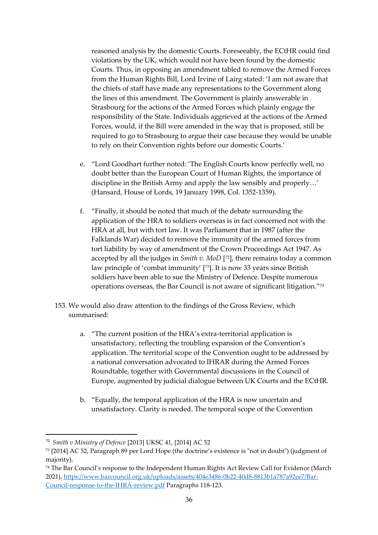reasoned analysis by the domestic Courts. Foreseeably, the ECtHR could find violations by the UK, which would not have been found by the domestic Courts. Thus, in opposing an amendment tabled to remove the Armed Forces from the Human Rights Bill, Lord Irvine of Lairg stated: 'I am not aware that the chiefs of staff have made any representations to the Government along the lines of this amendment. The Government is plainly answerable in Strasbourg for the actions of the Armed Forces which plainly engage the responsibility of the State. Individuals aggrieved at the actions of the Armed Forces, would, if the Bill were amended in the way that is proposed, still be required to go to Strasbourg to argue their case because they would be unable to rely on their Convention rights before our domestic Courts.'

- e. "Lord Goodhart further noted: 'The English Courts know perfectly well, no doubt better than the European Court of Human Rights, the importance of discipline in the British Army and apply the law sensibly and properly…' (Hansard, House of Lords, 19 January 1998, Col. 1352-1359).
- f. "Finally, it should be noted that much of the debate surrounding the application of the HRA to soldiers overseas is in fact concerned not with the HRA at all, but with tort law. It was Parliament that in 1987 (after the Falklands War) decided to remove the immunity of the armed forces from tort liability by way of amendment of the Crown Proceedings Act 1947. As accepted by all the judges in *Smith v. MoD* [ <sup>72</sup>], there remains today a common law principle of 'combat immunity' [73]. It is now 33 years since British soldiers have been able to sue the Ministry of Defence. Despite numerous operations overseas, the Bar Council is not aware of significant litigation."<sup>74</sup>
- 153. We would also draw attention to the findings of the Gross Review, which summarised:
	- a. "The current position of the HRA's extra-territorial application is unsatisfactory, reflecting the troubling expansion of the Convention's application. The territorial scope of the Convention ought to be addressed by a national conversation advocated to IHRAR during the Armed Forces Roundtable, together with Governmental discussions in the Council of Europe, augmented by judicial dialogue between UK Courts and the ECtHR.
	- b. "Equally, the temporal application of the HRA is now uncertain and unsatisfactory. Clarity is needed. The temporal scope of the Convention

<sup>72</sup> *Smith v Ministry of Defence* [2013] UKSC 41, [2014] AC 52

<sup>73</sup> [2014] AC 52, Paragraph 89 per Lord Hope (the doctrine's existence is "not in doubt") (judgment of majority).

<sup>74</sup> The Bar Council's response to the Independent Human Rights Act Review Call for Evidence (March 2021), [https://www.barcouncil.org.uk/uploads/assets/404e3486-0b22-40d8-8813b1a787a92ce7/Bar-](https://www.barcouncil.org.uk/uploads/assets/404e3486-0b22-40d8-8813b1a787a92ce7/Bar-Council-response-to-the-IHRA-review.pdf)[Council-response-to-the-IHRA-review.pdf](https://www.barcouncil.org.uk/uploads/assets/404e3486-0b22-40d8-8813b1a787a92ce7/Bar-Council-response-to-the-IHRA-review.pdf) Paragraphs 118-123.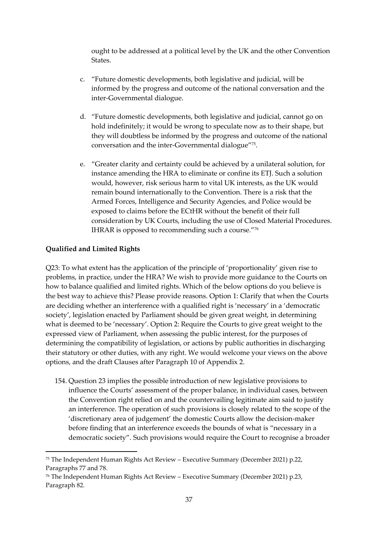ought to be addressed at a political level by the UK and the other Convention States.

- c. "Future domestic developments, both legislative and judicial, will be informed by the progress and outcome of the national conversation and the inter-Governmental dialogue.
- d. "Future domestic developments, both legislative and judicial, cannot go on hold indefinitely; it would be wrong to speculate now as to their shape, but they will doubtless be informed by the progress and outcome of the national conversation and the inter-Governmental dialogue"<sup>75</sup> .
- e. "Greater clarity and certainty could be achieved by a unilateral solution, for instance amending the HRA to eliminate or confine its ETJ. Such a solution would, however, risk serious harm to vital UK interests, as the UK would remain bound internationally to the Convention. There is a risk that the Armed Forces, Intelligence and Security Agencies, and Police would be exposed to claims before the ECtHR without the benefit of their full consideration by UK Courts, including the use of Closed Material Procedures. IHRAR is opposed to recommending such a course."<sup>76</sup>

# **Qualified and Limited Rights**

Q23: To what extent has the application of the principle of 'proportionality' given rise to problems, in practice, under the HRA? We wish to provide more guidance to the Courts on how to balance qualified and limited rights. Which of the below options do you believe is the best way to achieve this? Please provide reasons. Option 1: Clarify that when the Courts are deciding whether an interference with a qualified right is 'necessary' in a 'democratic society', legislation enacted by Parliament should be given great weight, in determining what is deemed to be 'necessary'. Option 2: Require the Courts to give great weight to the expressed view of Parliament, when assessing the public interest, for the purposes of determining the compatibility of legislation, or actions by public authorities in discharging their statutory or other duties, with any right. We would welcome your views on the above options, and the draft Clauses after Paragraph 10 of Appendix 2.

154. Question 23 implies the possible introduction of new legislative provisions to influence the Courts' assessment of the proper balance, in individual cases, between the Convention right relied on and the countervailing legitimate aim said to justify an interference. The operation of such provisions is closely related to the scope of the 'discretionary area of judgement' the domestic Courts allow the decision-maker before finding that an interference exceeds the bounds of what is "necessary in a democratic society". Such provisions would require the Court to recognise a broader

<sup>75</sup> The Independent Human Rights Act Review – Executive Summary (December 2021) p.22, Paragraphs 77 and 78.

<sup>76</sup> The Independent Human Rights Act Review – Executive Summary (December 2021) p.23, Paragraph 82.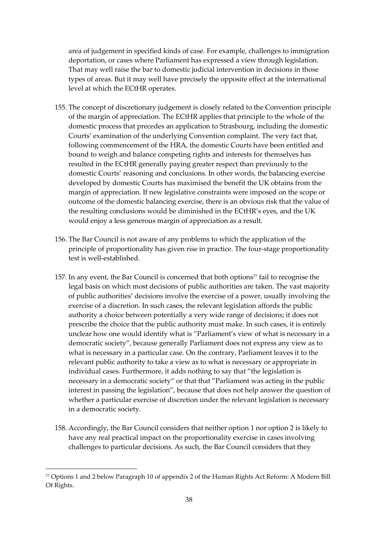area of judgement in specified kinds of case. For example, challenges to immigration deportation, or cases where Parliament has expressed a view through legislation. That may well raise the bar to domestic judicial intervention in decisions in those types of areas. But it may well have precisely the opposite effect at the international level at which the ECtHR operates.

- 155. The concept of discretionary judgement is closely related to the Convention principle of the margin of appreciation. The ECtHR applies that principle to the whole of the domestic process that precedes an application to Strasbourg, including the domestic Courts' examination of the underlying Convention complaint. The very fact that, following commencement of the HRA, the domestic Courts have been entitled and bound to weigh and balance competing rights and interests for themselves has resulted in the ECtHR generally paying greater respect than previously to the domestic Courts' reasoning and conclusions. In other words, the balancing exercise developed by domestic Courts has maximised the benefit the UK obtains from the margin of appreciation. If new legislative constraints were imposed on the scope or outcome of the domestic balancing exercise, there is an obvious risk that the value of the resulting conclusions would be diminished in the ECtHR's eyes, and the UK would enjoy a less generous margin of appreciation as a result.
- 156. The Bar Council is not aware of any problems to which the application of the principle of proportionality has given rise in practice. The four-stage proportionality test is well-established.
- 157. In any event, the Bar Council is concerned that both options<sup>77</sup> fail to recognise the legal basis on which most decisions of public authorities are taken. The vast majority of public authorities' decisions involve the exercise of a power, usually involving the exercise of a discretion. In such cases, the relevant legislation affords the public authority a choice between potentially a very wide range of decisions; it does not prescribe the choice that the public authority must make. In such cases, it is entirely unclear how one would identify what is "Parliament's view of what is necessary in a democratic society", because generally Parliament does not express any view as to what is necessary in a particular case. On the contrary, Parliament leaves it to the relevant public authority to take a view as to what is necessary or appropriate in individual cases. Furthermore, it adds nothing to say that "the legislation is necessary in a democratic society" or that that "Parliament was acting in the public interest in passing the legislation", because that does not help answer the question of whether a particular exercise of discretion under the relevant legislation is necessary in a democratic society.
- 158. Accordingly, the Bar Council considers that neither option 1 nor option 2 is likely to have any real practical impact on the proportionality exercise in cases involving challenges to particular decisions. As such, the Bar Council considers that they

<sup>77</sup> Options 1 and 2 below Paragraph 10 of appendix 2 of the Human Rights Act Reform: A Modern Bill Of Rights.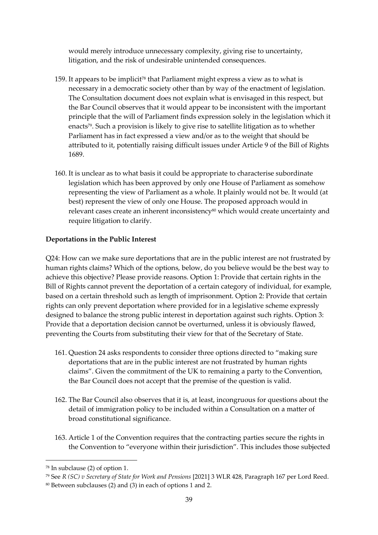would merely introduce unnecessary complexity, giving rise to uncertainty, litigation, and the risk of undesirable unintended consequences.

- 159. It appears to be implicit<sup>78</sup> that Parliament might express a view as to what is necessary in a democratic society other than by way of the enactment of legislation. The Consultation document does not explain what is envisaged in this respect, but the Bar Council observes that it would appear to be inconsistent with the important principle that the will of Parliament finds expression solely in the legislation which it enacts<sup>79</sup>. Such a provision is likely to give rise to satellite litigation as to whether Parliament has in fact expressed a view and/or as to the weight that should be attributed to it, potentially raising difficult issues under Article 9 of the Bill of Rights 1689.
- 160. It is unclear as to what basis it could be appropriate to characterise subordinate legislation which has been approved by only one House of Parliament as somehow representing the view of Parliament as a whole. It plainly would not be. It would (at best) represent the view of only one House. The proposed approach would in relevant cases create an inherent inconsistency<sup>80</sup> which would create uncertainty and require litigation to clarify.

#### **Deportations in the Public Interest**

Q24: How can we make sure deportations that are in the public interest are not frustrated by human rights claims? Which of the options, below, do you believe would be the best way to achieve this objective? Please provide reasons. Option 1: Provide that certain rights in the Bill of Rights cannot prevent the deportation of a certain category of individual, for example, based on a certain threshold such as length of imprisonment. Option 2: Provide that certain rights can only prevent deportation where provided for in a legislative scheme expressly designed to balance the strong public interest in deportation against such rights. Option 3: Provide that a deportation decision cannot be overturned, unless it is obviously flawed, preventing the Courts from substituting their view for that of the Secretary of State.

- 161. Question 24 asks respondents to consider three options directed to "making sure deportations that are in the public interest are not frustrated by human rights claims". Given the commitment of the UK to remaining a party to the Convention, the Bar Council does not accept that the premise of the question is valid.
- 162. The Bar Council also observes that it is, at least, incongruous for questions about the detail of immigration policy to be included within a Consultation on a matter of broad constitutional significance.
- 163. Article 1 of the Convention requires that the contracting parties secure the rights in the Convention to "everyone within their jurisdiction". This includes those subjected

<sup>78</sup> In subclause (2) of option 1.

<sup>79</sup> See *R (SC) v Secretary of State for Work and Pensions* [2021] 3 WLR 428, Paragraph 167 per Lord Reed.

<sup>80</sup> Between subclauses (2) and (3) in each of options 1 and 2.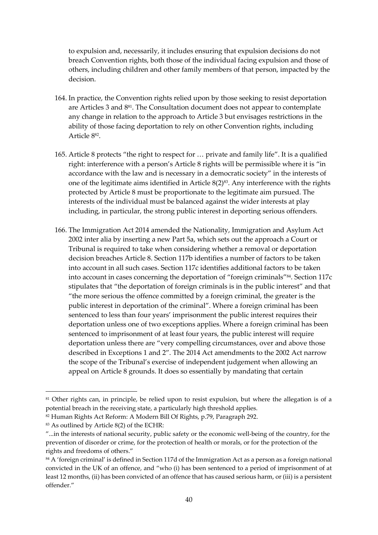to expulsion and, necessarily, it includes ensuring that expulsion decisions do not breach Convention rights, both those of the individual facing expulsion and those of others, including children and other family members of that person, impacted by the decision.

- 164. In practice, the Convention rights relied upon by those seeking to resist deportation are Articles 3 and 881. The Consultation document does not appear to contemplate any change in relation to the approach to Article 3 but envisages restrictions in the ability of those facing deportation to rely on other Convention rights, including Article 8<sup>82</sup> .
- 165. Article 8 protects "the right to respect for … private and family life". It is a qualified right: interference with a person's Article 8 rights will be permissible where it is "in accordance with the law and is necessary in a democratic society" in the interests of one of the legitimate aims identified in Article  $8(2)^{83}$ . Any interference with the rights protected by Article 8 must be proportionate to the legitimate aim pursued. The interests of the individual must be balanced against the wider interests at play including, in particular, the strong public interest in deporting serious offenders.
- 166. The Immigration Act 2014 amended the Nationality, Immigration and Asylum Act 2002 inter alia by inserting a new Part 5a, which sets out the approach a Court or Tribunal is required to take when considering whether a removal or deportation decision breaches Article 8. Section 117b identifies a number of factors to be taken into account in all such cases. Section 117c identifies additional factors to be taken into account in cases concerning the deportation of "foreign criminals"84. Section 117c stipulates that "the deportation of foreign criminals is in the public interest" and that "the more serious the offence committed by a foreign criminal, the greater is the public interest in deportation of the criminal". Where a foreign criminal has been sentenced to less than four years' imprisonment the public interest requires their deportation unless one of two exceptions applies. Where a foreign criminal has been sentenced to imprisonment of at least four years, the public interest will require deportation unless there are "very compelling circumstances, over and above those described in Exceptions 1 and 2". The 2014 Act amendments to the 2002 Act narrow the scope of the Tribunal's exercise of independent judgement when allowing an appeal on Article 8 grounds. It does so essentially by mandating that certain

<sup>&</sup>lt;sup>81</sup> Other rights can, in principle, be relied upon to resist expulsion, but where the allegation is of a potential breach in the receiving state, a particularly high threshold applies.

<sup>82</sup> Human Rights Act Reform: A Modern Bill Of Rights, p.79, Paragraph 292.

<sup>83</sup> As outlined by Article 8(2) of the ECHR:

<sup>&</sup>quot;...in the interests of national security, public safety or the economic well-being of the country, for the prevention of disorder or crime, for the protection of health or morals, or for the protection of the rights and freedoms of others."

<sup>&</sup>lt;sup>84</sup> A 'foreign criminal' is defined in Section 117d of the Immigration Act as a person as a foreign national convicted in the UK of an offence, and "who (i) has been sentenced to a period of imprisonment of at least 12 months, (ii) has been convicted of an offence that has caused serious harm, or (iii) is a persistent offender."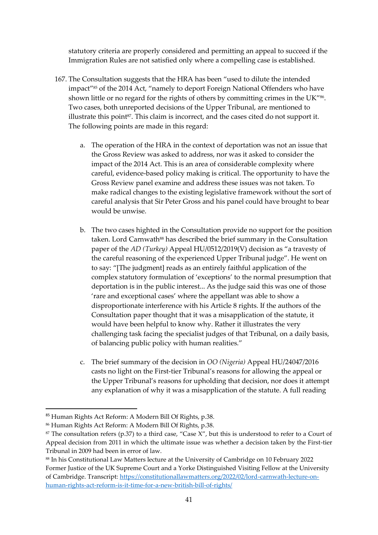statutory criteria are properly considered and permitting an appeal to succeed if the Immigration Rules are not satisfied only where a compelling case is established.

- 167. The Consultation suggests that the HRA has been "used to dilute the intended impact"85 of the 2014 Act, "namely to deport Foreign National Offenders who have shown little or no regard for the rights of others by committing crimes in the UK"<sup>86</sup>. Two cases, both unreported decisions of the Upper Tribunal, are mentioned to illustrate this point<sup>87</sup>. This claim is incorrect, and the cases cited do not support it. The following points are made in this regard:
	- a. The operation of the HRA in the context of deportation was not an issue that the Gross Review was asked to address, nor was it asked to consider the impact of the 2014 Act. This is an area of considerable complexity where careful, evidence-based policy making is critical. The opportunity to have the Gross Review panel examine and address these issues was not taken. To make radical changes to the existing legislative framework without the sort of careful analysis that Sir Peter Gross and his panel could have brought to bear would be unwise.
	- b. The two cases highted in the Consultation provide no support for the position taken. Lord Carnwath<sup>88</sup> has described the brief summary in the Consultation paper of the *AD (Turkey)* Appeal HU/0512/2019(V) decision as "a travesty of the careful reasoning of the experienced Upper Tribunal judge". He went on to say: "[The judgment] reads as an entirely faithful application of the complex statutory formulation of 'exceptions' to the normal presumption that deportation is in the public interest... As the judge said this was one of those 'rare and exceptional cases' where the appellant was able to show a disproportionate interference with his Article 8 rights. If the authors of the Consultation paper thought that it was a misapplication of the statute, it would have been helpful to know why. Rather it illustrates the very challenging task facing the specialist judges of that Tribunal, on a daily basis, of balancing public policy with human realities."
	- c. The brief summary of the decision in *OO (Nigeria)* Appeal HU/24047/2016 casts no light on the First-tier Tribunal's reasons for allowing the appeal or the Upper Tribunal's reasons for upholding that decision, nor does it attempt any explanation of why it was a misapplication of the statute. A full reading

<sup>85</sup> Human Rights Act Reform: A Modern Bill Of Rights, p.38.

<sup>86</sup> Human Rights Act Reform: A Modern Bill Of Rights, p.38.

 $87$  The consultation refers (p.37) to a third case, "Case X", but this is understood to refer to a Court of Appeal decision from 2011 in which the ultimate issue was whether a decision taken by the First-tier Tribunal in 2009 had been in error of law.

<sup>88</sup> In his Constitutional Law Matters lecture at the University of Cambridge on 10 February 2022 Former Justice of the UK Supreme Court and a Yorke Distinguished Visiting Fellow at the University of Cambridge. Transcript: [https://constitutionallawmatters.org/2022/02/lord-carnwath-lecture-on](https://constitutionallawmatters.org/2022/02/lord-carnwath-lecture-on-human-rights-act-reform-is-it-time-for-a-new-british-bill-of-rights/)[human-rights-act-reform-is-it-time-for-a-new-british-bill-of-rights/](https://constitutionallawmatters.org/2022/02/lord-carnwath-lecture-on-human-rights-act-reform-is-it-time-for-a-new-british-bill-of-rights/)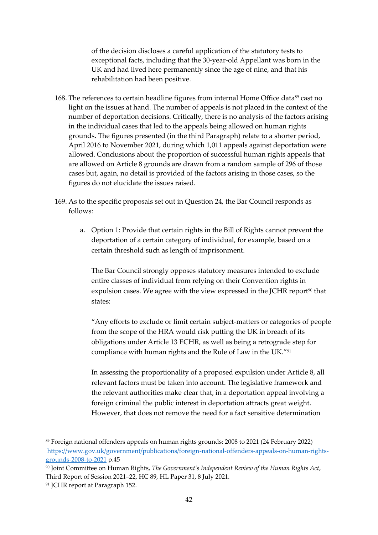of the decision discloses a careful application of the statutory tests to exceptional facts, including that the 30-year-old Appellant was born in the UK and had lived here permanently since the age of nine, and that his rehabilitation had been positive.

- 168. The references to certain headline figures from internal Home Office data<sup>89</sup> cast no light on the issues at hand. The number of appeals is not placed in the context of the number of deportation decisions. Critically, there is no analysis of the factors arising in the individual cases that led to the appeals being allowed on human rights grounds. The figures presented (in the third Paragraph) relate to a shorter period, April 2016 to November 2021, during which 1,011 appeals against deportation were allowed. Conclusions about the proportion of successful human rights appeals that are allowed on Article 8 grounds are drawn from a random sample of 296 of those cases but, again, no detail is provided of the factors arising in those cases, so the figures do not elucidate the issues raised.
- 169. As to the specific proposals set out in Question 24, the Bar Council responds as follows:
	- a. Option 1: Provide that certain rights in the Bill of Rights cannot prevent the deportation of a certain category of individual, for example, based on a certain threshold such as length of imprisonment.

The Bar Council strongly opposes statutory measures intended to exclude entire classes of individual from relying on their Convention rights in expulsion cases. We agree with the view expressed in the JCHR report<sup>90</sup> that states:

"Any efforts to exclude or limit certain subject-matters or categories of people from the scope of the HRA would risk putting the UK in breach of its obligations under Article 13 ECHR, as well as being a retrograde step for compliance with human rights and the Rule of Law in the UK."<sup>91</sup>

In assessing the proportionality of a proposed expulsion under Article 8, all relevant factors must be taken into account. The legislative framework and the relevant authorities make clear that, in a deportation appeal involving a foreign criminal the public interest in deportation attracts great weight. However, that does not remove the need for a fact sensitive determination

<sup>89</sup> Foreign national offenders appeals on human rights grounds: 2008 to 2021 (24 February 2022) [https://www.gov.uk/government/publications/foreign-national-offenders-appeals-on-human-rights](https://www.gov.uk/government/publications/foreign-national-offenders-appeals-on-human-rights-grounds-2008-to-2021)[grounds-2008-to-2021](https://www.gov.uk/government/publications/foreign-national-offenders-appeals-on-human-rights-grounds-2008-to-2021) p.45

<sup>90</sup> Joint Committee on Human Rights, *The Government's Independent Review of the Human Rights Act*, Third Report of Session 2021–22, HC 89, HL Paper 31, 8 July 2021.

<sup>91</sup> JCHR report at Paragraph 152.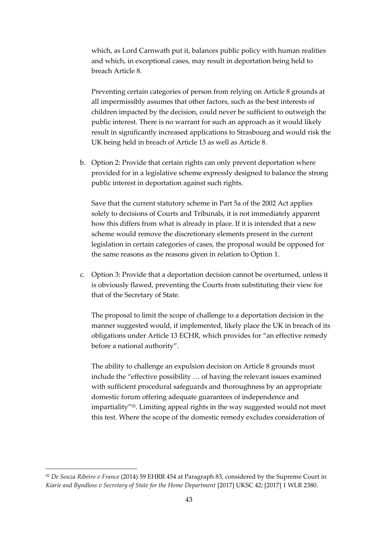which, as Lord Carnwath put it, balances public policy with human realities and which, in exceptional cases, may result in deportation being held to breach Article 8.

Preventing certain categories of person from relying on Article 8 grounds at all impermissibly assumes that other factors, such as the best interests of children impacted by the decision, could never be sufficient to outweigh the public interest. There is no warrant for such an approach as it would likely result in significantly increased applications to Strasbourg and would risk the UK being held in breach of Article 13 as well as Article 8.

b. Option 2: Provide that certain rights can only prevent deportation where provided for in a legislative scheme expressly designed to balance the strong public interest in deportation against such rights.

Save that the current statutory scheme in Part 5a of the 2002 Act applies solely to decisions of Courts and Tribunals, it is not immediately apparent how this differs from what is already in place. If it is intended that a new scheme would remove the discretionary elements present in the current legislation in certain categories of cases, the proposal would be opposed for the same reasons as the reasons given in relation to Option 1.

c. Option 3: Provide that a deportation decision cannot be overturned, unless it is obviously flawed, preventing the Courts from substituting their view for that of the Secretary of State.

The proposal to limit the scope of challenge to a deportation decision in the manner suggested would, if implemented, likely place the UK in breach of its obligations under Article 13 ECHR, which provides for "an effective remedy before a national authority".

The ability to challenge an expulsion decision on Article 8 grounds must include the "effective possibility … of having the relevant issues examined with sufficient procedural safeguards and thoroughness by an appropriate domestic forum offering adequate guarantees of independence and impartiality"92. Limiting appeal rights in the way suggested would not meet this test. Where the scope of the domestic remedy excludes consideration of

<sup>92</sup> *De Souza Ribeiro v France* (2014) 59 EHRR 454 at Paragraph 83, considered by the Supreme Court in *Kiarie and Byndloss v Secretary of State for the Home Department* [2017] UKSC 42; [2017] 1 WLR 2380.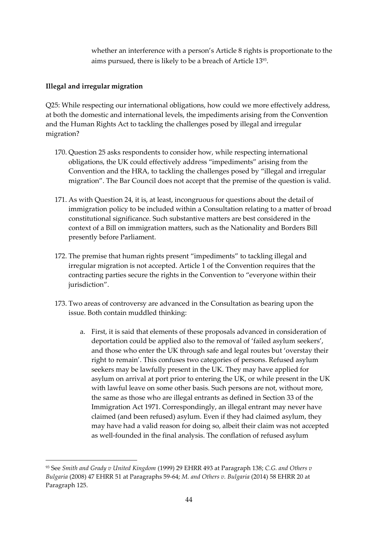whether an interference with a person's Article 8 rights is proportionate to the aims pursued, there is likely to be a breach of Article 13<sup>93</sup> .

#### **Illegal and irregular migration**

Q25: While respecting our international obligations, how could we more effectively address, at both the domestic and international levels, the impediments arising from the Convention and the Human Rights Act to tackling the challenges posed by illegal and irregular migration?

- 170. Question 25 asks respondents to consider how, while respecting international obligations, the UK could effectively address "impediments" arising from the Convention and the HRA, to tackling the challenges posed by "illegal and irregular migration". The Bar Council does not accept that the premise of the question is valid.
- 171. As with Question 24, it is, at least, incongruous for questions about the detail of immigration policy to be included within a Consultation relating to a matter of broad constitutional significance. Such substantive matters are best considered in the context of a Bill on immigration matters, such as the Nationality and Borders Bill presently before Parliament.
- 172. The premise that human rights present "impediments" to tackling illegal and irregular migration is not accepted. Article 1 of the Convention requires that the contracting parties secure the rights in the Convention to "everyone within their jurisdiction".
- 173. Two areas of controversy are advanced in the Consultation as bearing upon the issue. Both contain muddled thinking:
	- a. First, it is said that elements of these proposals advanced in consideration of deportation could be applied also to the removal of 'failed asylum seekers', and those who enter the UK through safe and legal routes but 'overstay their right to remain'. This confuses two categories of persons. Refused asylum seekers may be lawfully present in the UK. They may have applied for asylum on arrival at port prior to entering the UK, or while present in the UK with lawful leave on some other basis. Such persons are not, without more, the same as those who are illegal entrants as defined in Section 33 of the Immigration Act 1971. Correspondingly, an illegal entrant may never have claimed (and been refused) asylum. Even if they had claimed asylum, they may have had a valid reason for doing so, albeit their claim was not accepted as well-founded in the final analysis. The conflation of refused asylum

<sup>93</sup> See *Smith and Grady v United Kingdom* (1999) 29 EHRR 493 at Paragraph 138; *C.G. and Others v Bulgaria* (2008) 47 EHRR 51 at Paragraphs 59-64; *M. and Others v. Bulgaria* (2014) 58 EHRR 20 at Paragraph 125.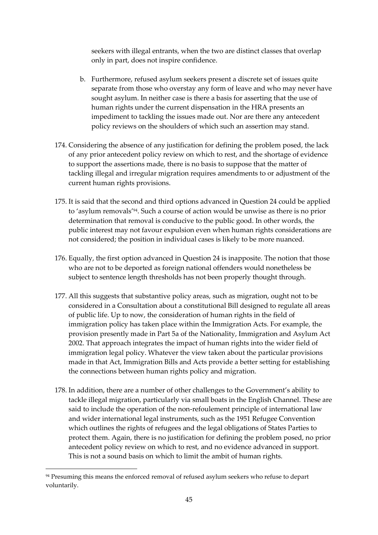seekers with illegal entrants, when the two are distinct classes that overlap only in part, does not inspire confidence.

- b. Furthermore, refused asylum seekers present a discrete set of issues quite separate from those who overstay any form of leave and who may never have sought asylum. In neither case is there a basis for asserting that the use of human rights under the current dispensation in the HRA presents an impediment to tackling the issues made out. Nor are there any antecedent policy reviews on the shoulders of which such an assertion may stand.
- 174. Considering the absence of any justification for defining the problem posed, the lack of any prior antecedent policy review on which to rest, and the shortage of evidence to support the assertions made, there is no basis to suppose that the matter of tackling illegal and irregular migration requires amendments to or adjustment of the current human rights provisions.
- 175. It is said that the second and third options advanced in Question 24 could be applied to 'asylum removals'94. Such a course of action would be unwise as there is no prior determination that removal is conducive to the public good. In other words, the public interest may not favour expulsion even when human rights considerations are not considered; the position in individual cases is likely to be more nuanced.
- 176. Equally, the first option advanced in Question 24 is inapposite. The notion that those who are not to be deported as foreign national offenders would nonetheless be subject to sentence length thresholds has not been properly thought through.
- 177. All this suggests that substantive policy areas, such as migration, ought not to be considered in a Consultation about a constitutional Bill designed to regulate all areas of public life. Up to now, the consideration of human rights in the field of immigration policy has taken place within the Immigration Acts. For example, the provision presently made in Part 5a of the Nationality, Immigration and Asylum Act 2002. That approach integrates the impact of human rights into the wider field of immigration legal policy. Whatever the view taken about the particular provisions made in that Act, Immigration Bills and Acts provide a better setting for establishing the connections between human rights policy and migration.
- 178. In addition, there are a number of other challenges to the Government's ability to tackle illegal migration, particularly via small boats in the English Channel. These are said to include the operation of the non-refoulement principle of international law and wider international legal instruments, such as the 1951 Refugee Convention which outlines the rights of refugees and the legal obligations of States Parties to protect them. Again, there is no justification for defining the problem posed, no prior antecedent policy review on which to rest, and no evidence advanced in support. This is not a sound basis on which to limit the ambit of human rights.

<sup>&</sup>lt;sup>94</sup> Presuming this means the enforced removal of refused asylum seekers who refuse to depart voluntarily.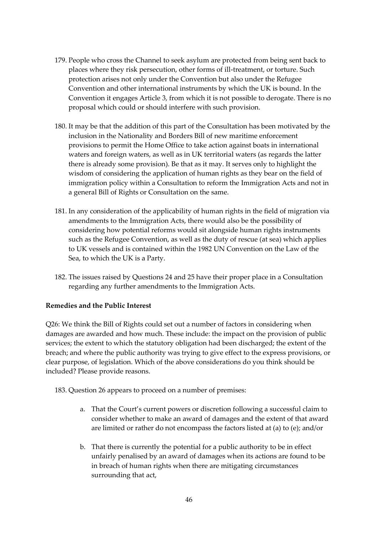- 179. People who cross the Channel to seek asylum are protected from being sent back to places where they risk persecution, other forms of ill-treatment, or torture. Such protection arises not only under the Convention but also under the Refugee Convention and other international instruments by which the UK is bound. In the Convention it engages Article 3, from which it is not possible to derogate. There is no proposal which could or should interfere with such provision.
- 180. It may be that the addition of this part of the Consultation has been motivated by the inclusion in the Nationality and Borders Bill of new maritime enforcement provisions to permit the Home Office to take action against boats in international waters and foreign waters, as well as in UK territorial waters (as regards the latter there is already some provision). Be that as it may. It serves only to highlight the wisdom of considering the application of human rights as they bear on the field of immigration policy within a Consultation to reform the Immigration Acts and not in a general Bill of Rights or Consultation on the same.
- 181. In any consideration of the applicability of human rights in the field of migration via amendments to the Immigration Acts, there would also be the possibility of considering how potential reforms would sit alongside human rights instruments such as the Refugee Convention, as well as the duty of rescue (at sea) which applies to UK vessels and is contained within the 1982 UN Convention on the Law of the Sea, to which the UK is a Party.
- 182. The issues raised by Questions 24 and 25 have their proper place in a Consultation regarding any further amendments to the Immigration Acts.

# **Remedies and the Public Interest**

Q26: We think the Bill of Rights could set out a number of factors in considering when damages are awarded and how much. These include: the impact on the provision of public services; the extent to which the statutory obligation had been discharged; the extent of the breach; and where the public authority was trying to give effect to the express provisions, or clear purpose, of legislation. Which of the above considerations do you think should be included? Please provide reasons.

183. Question 26 appears to proceed on a number of premises:

- a. That the Court's current powers or discretion following a successful claim to consider whether to make an award of damages and the extent of that award are limited or rather do not encompass the factors listed at (a) to (e); and/or
- b. That there is currently the potential for a public authority to be in effect unfairly penalised by an award of damages when its actions are found to be in breach of human rights when there are mitigating circumstances surrounding that act,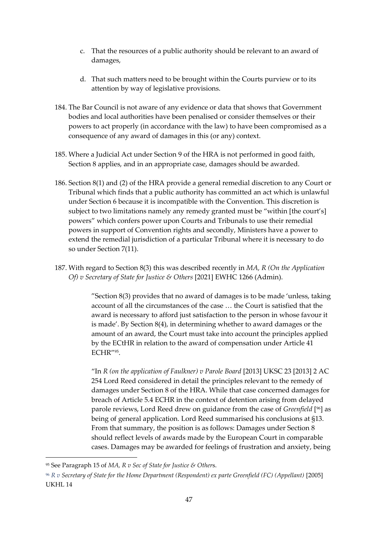- c. That the resources of a public authority should be relevant to an award of damages,
- d. That such matters need to be brought within the Courts purview or to its attention by way of legislative provisions.
- 184. The Bar Council is not aware of any evidence or data that shows that Government bodies and local authorities have been penalised or consider themselves or their powers to act properly (in accordance with the law) to have been compromised as a consequence of any award of damages in this (or any) context.
- 185. Where a Judicial Act under Section 9 of the HRA is not performed in good faith, Section 8 applies, and in an appropriate case, damages should be awarded.
- 186. Section 8(1) and (2) of the HRA provide a general remedial discretion to any Court or Tribunal which finds that a public authority has committed an act which is unlawful under Section 6 because it is incompatible with the Convention. This discretion is subject to two limitations namely any remedy granted must be "within [the court's] powers" which confers power upon Courts and Tribunals to use their remedial powers in support of Convention rights and secondly, Ministers have a power to extend the remedial jurisdiction of a particular Tribunal where it is necessary to do so under Section 7(11).
- 187. With regard to Section 8(3) this was described recently in *MA, R (On the Application Of) v Secretary of State for Justice & Others* [2021] EWHC 1266 (Admin).

"Section 8(3) provides that no award of damages is to be made 'unless, taking account of all the circumstances of the case … the Court is satisfied that the award is necessary to afford just satisfaction to the person in whose favour it is made'. By Section 8(4), in determining whether to award damages or the amount of an award, the Court must take into account the principles applied by the ECtHR in relation to the award of compensation under Article 41 ECHR"<sup>95</sup> .

"In *R (on the application of Faulkner) v Parole Board* [2013] UKSC 23 [2013] 2 AC 254 Lord Reed considered in detail the principles relevant to the remedy of damages under Section 8 of the HRA. While that case concerned damages for breach of Article 5.4 ECHR in the context of detention arising from delayed parole reviews, Lord Reed drew on guidance from the case of *Greenfield* [ <sup>96</sup>] as being of general application. Lord Reed summarised his conclusions at §13. From that summary, the position is as follows: Damages under Section 8 should reflect levels of awards made by the European Court in comparable cases. Damages may be awarded for feelings of frustration and anxiety, being

<sup>95</sup> See Paragraph 15 of *MA, R v Sec of State for Justice & Other*s.

<sup>96</sup> *R v Secretary of State for the Home Department (Respondent) ex parte Greenfield (FC) (Appellant)* [2005] UKHL 14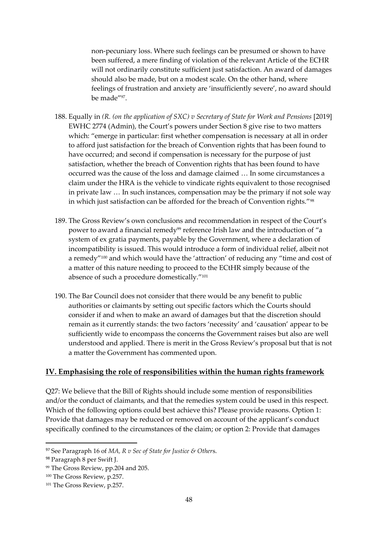non-pecuniary loss. Where such feelings can be presumed or shown to have been suffered, a mere finding of violation of the relevant Article of the ECHR will not ordinarily constitute sufficient just satisfaction. An award of damages should also be made, but on a modest scale. On the other hand, where feelings of frustration and anxiety are 'insufficiently severe', no award should be made"<sup>97</sup> .

- 188. Equally in *(R. (on the application of SXC) v Secretary of State for Work and Pensions* [2019] EWHC 2774 (Admin), the Court's powers under Section 8 give rise to two matters which: "emerge in particular: first whether compensation is necessary at all in order to afford just satisfaction for the breach of Convention rights that has been found to have occurred; and second if compensation is necessary for the purpose of just satisfaction, whether the breach of Convention rights that has been found to have occurred was the cause of the loss and damage claimed … In some circumstances a claim under the HRA is the vehicle to vindicate rights equivalent to those recognised in private law … In such instances, compensation may be the primary if not sole way in which just satisfaction can be afforded for the breach of Convention rights."<sup>98</sup>
- 189. The Gross Review's own conclusions and recommendation in respect of the Court's power to award a financial remedy<sup>99</sup> reference Irish law and the introduction of "a system of ex gratia payments, payable by the Government, where a declaration of incompatibility is issued. This would introduce a form of individual relief, albeit not a remedy"<sup>100</sup> and which would have the 'attraction' of reducing any "time and cost of a matter of this nature needing to proceed to the ECtHR simply because of the absence of such a procedure domestically."<sup>101</sup>
- 190. The Bar Council does not consider that there would be any benefit to public authorities or claimants by setting out specific factors which the Courts should consider if and when to make an award of damages but that the discretion should remain as it currently stands: the two factors 'necessity' and 'causation' appear to be sufficiently wide to encompass the concerns the Government raises but also are well understood and applied. There is merit in the Gross Review's proposal but that is not a matter the Government has commented upon.

#### **IV. Emphasising the role of responsibilities within the human rights framework**

Q27: We believe that the Bill of Rights should include some mention of responsibilities and/or the conduct of claimants, and that the remedies system could be used in this respect. Which of the following options could best achieve this? Please provide reasons. Option 1: Provide that damages may be reduced or removed on account of the applicant's conduct specifically confined to the circumstances of the claim; or option 2: Provide that damages

<sup>97</sup> See Paragraph 16 of *MA, R v Sec of State for Justice & Other*s.

<sup>98</sup> Paragraph 8 per Swift J.

<sup>99</sup> The Gross Review, pp.204 and 205.

<sup>100</sup> The Gross Review, p.257.

<sup>101</sup> The Gross Review, p.257.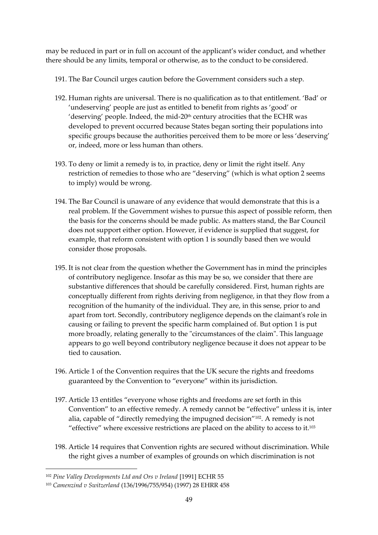may be reduced in part or in full on account of the applicant's wider conduct, and whether there should be any limits, temporal or otherwise, as to the conduct to be considered.

- 191. The Bar Council urges caution before the Government considers such a step.
- 192. Human rights are universal. There is no qualification as to that entitlement. 'Bad' or 'undeserving' people are just as entitled to benefit from rights as 'good' or 'deserving' people. Indeed, the mid-20th century atrocities that the ECHR was developed to prevent occurred because States began sorting their populations into specific groups because the authorities perceived them to be more or less 'deserving' or, indeed, more or less human than others.
- 193. To deny or limit a remedy is to, in practice, deny or limit the right itself. Any restriction of remedies to those who are "deserving" (which is what option 2 seems to imply) would be wrong.
- 194. The Bar Council is unaware of any evidence that would demonstrate that this is a real problem. If the Government wishes to pursue this aspect of possible reform, then the basis for the concerns should be made public. As matters stand, the Bar Council does not support either option. However, if evidence is supplied that suggest, for example, that reform consistent with option 1 is soundly based then we would consider those proposals.
- 195. It is not clear from the question whether the Government has in mind the principles of contributory negligence. Insofar as this may be so, we consider that there are substantive differences that should be carefully considered. First, human rights are conceptually different from rights deriving from negligence, in that they flow from a recognition of the humanity of the individual. They are, in this sense, prior to and apart from tort. Secondly, contributory negligence depends on the claimant's role in causing or failing to prevent the specific harm complained of. But option 1 is put more broadly, relating generally to the "circumstances of the claim". This language appears to go well beyond contributory negligence because it does not appear to be tied to causation.
- 196. Article 1 of the Convention requires that the UK secure the rights and freedoms guaranteed by the Convention to "everyone" within its jurisdiction.
- 197. Article 13 entitles "everyone whose rights and freedoms are set forth in this Convention" to an effective remedy. A remedy cannot be "effective" unless it is, inter alia, capable of "directly remedying the impugned decision"102. A remedy is not "effective" where excessive restrictions are placed on the ability to access to it.<sup>103</sup>
- 198. Article 14 requires that Convention rights are secured without discrimination. While the right gives a number of examples of grounds on which discrimination is not

<sup>102</sup> *Pine Valley Developments Ltd and Ors v Ireland* [1991] ECHR 55

<sup>103</sup> *Camenzind v Switzerland* (136/1996/755/954) (1997) 28 EHRR 458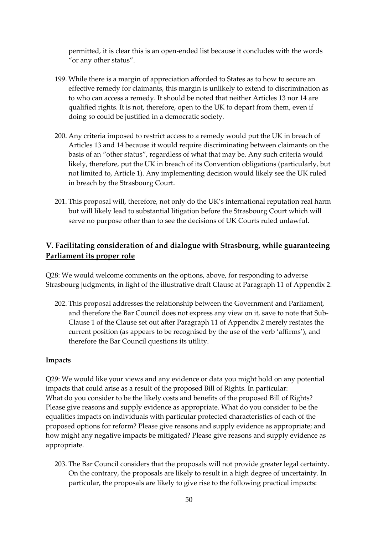permitted, it is clear this is an open-ended list because it concludes with the words "or any other status".

- 199. While there is a margin of appreciation afforded to States as to how to secure an effective remedy for claimants, this margin is unlikely to extend to discrimination as to who can access a remedy. It should be noted that neither Articles 13 nor 14 are qualified rights. It is not, therefore, open to the UK to depart from them, even if doing so could be justified in a democratic society.
- 200. Any criteria imposed to restrict access to a remedy would put the UK in breach of Articles 13 and 14 because it would require discriminating between claimants on the basis of an "other status", regardless of what that may be. Any such criteria would likely, therefore, put the UK in breach of its Convention obligations (particularly, but not limited to, Article 1). Any implementing decision would likely see the UK ruled in breach by the Strasbourg Court.
- 201. This proposal will, therefore, not only do the UK's international reputation real harm but will likely lead to substantial litigation before the Strasbourg Court which will serve no purpose other than to see the decisions of UK Courts ruled unlawful.

# **V. Facilitating consideration of and dialogue with Strasbourg, while guaranteeing Parliament its proper role**

Q28: We would welcome comments on the options, above, for responding to adverse Strasbourg judgments, in light of the illustrative draft Clause at Paragraph 11 of Appendix 2.

202. This proposal addresses the relationship between the Government and Parliament, and therefore the Bar Council does not express any view on it, save to note that Sub-Clause 1 of the Clause set out after Paragraph 11 of Appendix 2 merely restates the current position (as appears to be recognised by the use of the verb 'affirms'), and therefore the Bar Council questions its utility.

#### **Impacts**

Q29: We would like your views and any evidence or data you might hold on any potential impacts that could arise as a result of the proposed Bill of Rights. In particular: What do you consider to be the likely costs and benefits of the proposed Bill of Rights? Please give reasons and supply evidence as appropriate. What do you consider to be the equalities impacts on individuals with particular protected characteristics of each of the proposed options for reform? Please give reasons and supply evidence as appropriate; and how might any negative impacts be mitigated? Please give reasons and supply evidence as appropriate.

203. The Bar Council considers that the proposals will not provide greater legal certainty. On the contrary, the proposals are likely to result in a high degree of uncertainty. In particular, the proposals are likely to give rise to the following practical impacts: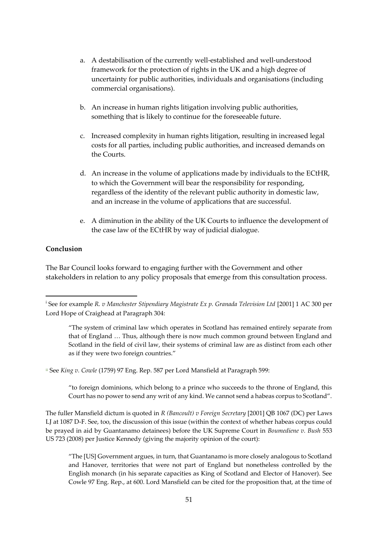- a. A destabilisation of the currently well-established and well-understood framework for the protection of rights in the UK and a high degree of uncertainty for public authorities, individuals and organisations (including commercial organisations).
- b. An increase in human rights litigation involving public authorities, something that is likely to continue for the foreseeable future.
- c. Increased complexity in human rights litigation, resulting in increased legal costs for all parties, including public authorities, and increased demands on the Courts.
- d. An increase in the volume of applications made by individuals to the ECtHR, to which the Government will bear the responsibility for responding, regardless of the identity of the relevant public authority in domestic law, and an increase in the volume of applications that are successful.
- e. A diminution in the ability of the UK Courts to influence the development of the case law of the ECtHR by way of judicial dialogue.

# **Conclusion**

The Bar Council looks forward to engaging further with the Government and other stakeholders in relation to any policy proposals that emerge from this consultation process.

ii See *King v. Cowle* (1759) 97 Eng. Rep. 587 per Lord Mansfield at Paragraph 599:

"to foreign dominions, which belong to a prince who succeeds to the throne of England, this Court has no power to send any writ of any kind. We cannot send a habeas corpus to Scotland".

The fuller Mansfield dictum is quoted in *R (Bancoult) v Foreign Secretary* [2001] QB 1067 (DC) per Laws LJ at 1087 D-F. See, too, the discussion of this issue (within the context of whether habeas corpus could be prayed in aid by Guantanamo detainees) before the UK Supreme Court in *Boumediene v. Bush* 553 US 723 (2008) per Justice Kennedy (giving the majority opinion of the court):

"The [US] Government argues, in turn, that Guantanamo is more closely analogous to Scotland and Hanover, territories that were not part of England but nonetheless controlled by the English monarch (in his separate capacities as King of Scotland and Elector of Hanover). See Cowle 97 Eng. Rep., at 600. Lord Mansfield can be cited for the proposition that, at the time of

i See for example *R. v Manchester Stipendiary Magistrate Ex p. Granada Television Ltd* [2001] 1 AC 300 per Lord Hope of Craighead at Paragraph 304:

<sup>&</sup>quot;The system of criminal law which operates in Scotland has remained entirely separate from that of England … Thus, although there is now much common ground between England and Scotland in the field of civil law, their systems of criminal law are as distinct from each other as if they were two foreign countries."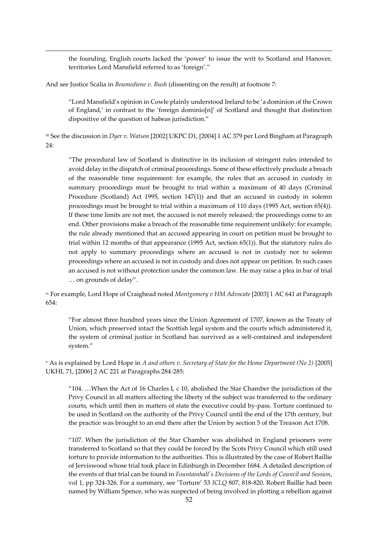the founding, English courts lacked the 'power' to issue the writ to Scotland and Hanover, territories Lord Mansfield referred to as 'foreign'."

And see Justice Scalia in *Boumediene v. Bush* (dissenting on the result) at footnote 7:

"Lord Mansfield's opinion in Cowle plainly understood Ireland to be 'a dominion of the Crown of England,' in contrast to the 'foreign dominio[n]' of Scotland and thought that distinction dispositive of the question of habeas jurisdiction."

iii See the discussion in *Dyer v. Watson* [2002] UKPC D1, [2004] 1 AC 379 per Lord Bingham at Paragraph 24:

"The procedural law of Scotland is distinctive in its inclusion of stringent rules intended to avoid delay in the dispatch of criminal proceedings. Some of these effectively preclude a breach of the reasonable time requirement: for example, the rules that an accused in custody in summary proceedings must be brought to trial within a maximum of 40 days (Criminal Procedure (Scotland) Act 1995, section 147(1)) and that an accused in custody in solemn proceedings must be brought to trial within a maximum of 110 days (1995 Act, section 65(4)). If these time limits are not met, the accused is not merely released; the proceedings come to an end. Other provisions make a breach of the reasonable time requirement unlikely: for example, the rule already mentioned that an accused appearing in court on petition must be brought to trial within 12 months of that appearance (1995 Act, section 65(1)). But the statutory rules do not apply to summary proceedings where an accused is not in custody nor to solemn proceedings where an accused is not in custody and does not appear on petition. In such cases an accused is not without protection under the common law. He may raise a plea in bar of trial … on grounds of delay".

iv For example, Lord Hope of Craighead noted *Montgomery v HM Advocate* [2003] 1 AC 641 at Paragraph 654:

"For almost three hundred years since the Union Agreement of 1707, known as the Treaty of Union, which preserved intact the Scottish legal system and the courts which administered it, the system of criminal justice in Scotland has survived as a self-contained and independent system."

<sup>v</sup> As is explained by Lord Hope in *A and others v. Secretary of State for the Home Department (No 2)* [2005] UKHL 71, [2006] 2 AC 221 at Paragraphs 284-285:

"104. ...When the Act of 16 Charles I, c 10, abolished the Star Chamber the jurisdiction of the Privy Council in all matters affecting the liberty of the subject was transferred to the ordinary courts, which until then in matters of state the executive could by-pass. Torture continued to be used in Scotland on the authority of the Privy Council until the end of the 17th century, but the practice was brought to an end there after the Union by section 5 of the Treason Act 1708.

"107. When the jurisdiction of the Star Chamber was abolished in England prisoners were transferred to Scotland so that they could be forced by the Scots Privy Council which still used torture to provide information to the authorities. This is illustrated by the case of Robert Baillie of Jerviswood whose trial took place in Edinburgh in December 1684. A detailed description of the events of that trial can be found in *Fountainhall's Decisions of the Lords of Council and Session*, vol 1, pp 324-326. For a summary, see 'Torture' 53 *ICLQ* 807, 818-820. Robert Baillie had been named by William Spence, who was suspected of being involved in plotting a rebellion against